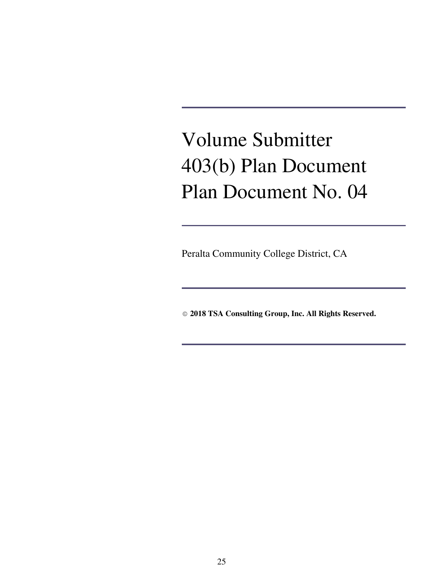# Volume Submitter 403(b) Plan Document Plan Document No. 04

Peralta Community College District, CA

© **2018 TSA Consulting Group, Inc. All Rights Reserved.**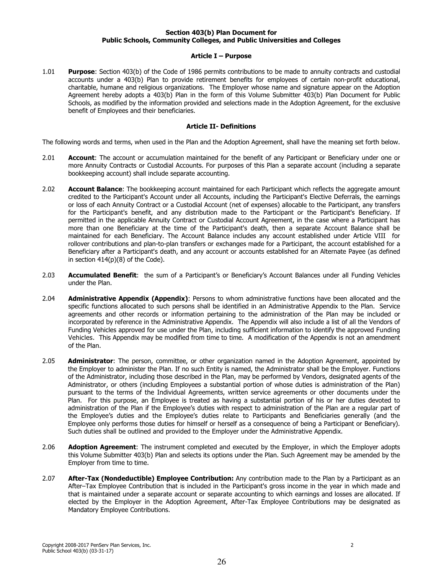## Section 403(b) Plan Document for Public Schools, Community Colleges, and Public Universities and Colleges

## **Article I - Purpose**

 $1.01$ Purpose: Section 403(b) of the Code of 1986 permits contributions to be made to annuity contracts and custodial accounts under a 403(b) Plan to provide retirement benefits for employees of certain non-profit educational, charitable, humane and religious organizations. The Employer whose name and signature appear on the Adoption Agreement hereby adopts a 403(b) Plan in the form of this Volume Submitter 403(b) Plan Document for Public Schools, as modified by the information provided and selections made in the Adoption Agreement, for the exclusive benefit of Employees and their beneficiaries.

### **Article II- Definitions**

The following words and terms, when used in the Plan and the Adoption Agreement, shall have the meaning set forth below.

- $2.01$ Account: The account or accumulation maintained for the benefit of any Participant or Beneficiary under one or more Annuity Contracts or Custodial Accounts. For purposes of this Plan a separate account (including a separate bookkeeping account) shall include separate accounting.
- $2.02$ Account Balance: The bookkeeping account maintained for each Participant which reflects the aggregate amount credited to the Participant's Account under all Accounts, including the Participant's Elective Deferrals, the earnings or loss of each Annuity Contract or a Custodial Account (net of expenses) allocable to the Participant, any transfers for the Participant's benefit, and any distribution made to the Participant or the Participant's Beneficiary. If permitted in the applicable Annuity Contract or Custodial Account Agreement, in the case where a Participant has more than one Beneficiary at the time of the Participant's death, then a separate Account Balance shall be maintained for each Beneficiary. The Account Balance includes any account established under Article VIII for rollover contributions and plan-to-plan transfers or exchanges made for a Participant, the account established for a Beneficiary after a Participant's death, and any account or accounts established for an Alternate Payee (as defined in section  $414(p)(8)$  of the Code).
- $2.03$ Accumulated Benefit: the sum of a Participant's or Beneficiary's Account Balances under all Funding Vehicles under the Plan.
- 2.04 Administrative Appendix (Appendix): Persons to whom administrative functions have been allocated and the specific functions allocated to such persons shall be identified in an Administrative Appendix to the Plan. Service agreements and other records or information pertaining to the administration of the Plan may be included or incorporated by reference in the Administrative Appendix. The Appendix will also include a list of all the Vendors of Funding Vehicles approved for use under the Plan, including sufficient information to identify the approved Funding Vehicles. This Appendix may be modified from time to time. A modification of the Appendix is not an amendment of the Plan.
- 2.05 Administrator: The person, committee, or other organization named in the Adoption Agreement, appointed by the Employer to administer the Plan. If no such Entity is named, the Administrator shall be the Employer. Functions of the Administrator, including those described in the Plan, may be performed by Vendors, designated agents of the Administrator, or others (including Employees a substantial portion of whose duties is administration of the Plan) pursuant to the terms of the Individual Agreements, written service agreements or other documents under the Plan. For this purpose, an Employee is treated as having a substantial portion of his or her duties devoted to administration of the Plan if the Employee's duties with respect to administration of the Plan are a regular part of the Employee's duties and the Employee's duties relate to Participants and Beneficiaries generally (and the Employee only performs those duties for himself or herself as a consequence of being a Participant or Beneficiary). Such duties shall be outlined and provided to the Employer under the Administrative Appendix.
- 2.06 Adoption Agreement: The instrument completed and executed by the Employer, in which the Employer adopts this Volume Submitter 403(b) Plan and selects its options under the Plan. Such Agreement may be amended by the Employer from time to time.
- 2.07 After-Tax (Nondeductible) Employee Contribution: Any contribution made to the Plan by a Participant as an After-Tax Employee Contribution that is included in the Participant's gross income in the year in which made and that is maintained under a separate account or separate accounting to which earnings and losses are allocated. If elected by the Employer in the Adoption Agreement, After-Tax Employee Contributions may be designated as Mandatory Employee Contributions.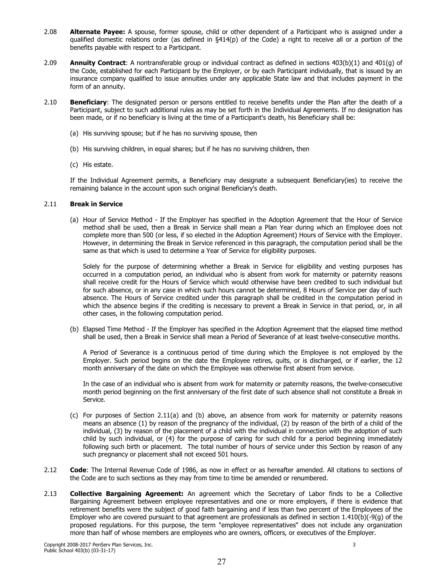- 2.08 Alternate Payee: A spouse, former spouse, child or other dependent of a Participant who is assigned under a qualified domestic relations order (as defined in §414(p) of the Code) a right to receive all or a portion of the benefits payable with respect to a Participant.
- 2.09 **Annuity Contract:** A nontransferable group or individual contract as defined in sections  $403(b)(1)$  and  $401(q)$  of the Code, established for each Participant by the Employer, or by each Participant individually, that is issued by an insurance company qualified to issue annuities under any applicable State law and that includes payment in the form of an annuity.
- $2.10$ Beneficiary: The designated person or persons entitled to receive benefits under the Plan after the death of a Participant, subject to such additional rules as may be set forth in the Individual Agreements. If no designation has been made, or if no beneficiary is living at the time of a Participant's death, his Beneficiary shall be:
	- (a) His surviving spouse; but if he has no surviving spouse, then
	- (b) His surviving children, in equal shares; but if he has no surviving children, then
	- (c) His estate.

If the Individual Agreement permits, a Beneficiary may designate a subsequent Beneficiary(ies) to receive the remaining balance in the account upon such original Beneficiary's death.

#### $2.11$ **Break in Service**

(a) Hour of Service Method - If the Employer has specified in the Adoption Agreement that the Hour of Service method shall be used, then a Break in Service shall mean a Plan Year during which an Employee does not complete more than 500 (or less, if so elected in the Adoption Agreement) Hours of Service with the Employer. However, in determining the Break in Service referenced in this paragraph, the computation period shall be the same as that which is used to determine a Year of Service for eligibility purposes.

Solely for the purpose of determining whether a Break in Service for eligibility and vesting purposes has occurred in a computation period, an individual who is absent from work for maternity or paternity reasons shall receive credit for the Hours of Service which would otherwise have been credited to such individual but for such absence, or in any case in which such hours cannot be determined, 8 Hours of Service per day of such absence. The Hours of Service credited under this paragraph shall be credited in the computation period in which the absence begins if the crediting is necessary to prevent a Break in Service in that period, or, in all other cases, in the following computation period.

(b) Elapsed Time Method - If the Employer has specified in the Adoption Agreement that the elapsed time method shall be used, then a Break in Service shall mean a Period of Severance of at least twelve-consecutive months.

A Period of Severance is a continuous period of time during which the Employee is not employed by the Employer. Such period begins on the date the Employee retires, quits, or is discharged, or if earlier, the 12 month anniversary of the date on which the Employee was otherwise first absent from service.

In the case of an individual who is absent from work for maternity or paternity reasons, the twelve-consecutive month period beginning on the first anniversary of the first date of such absence shall not constitute a Break in Service.

- (c) For purposes of Section 2.11(a) and (b) above, an absence from work for maternity or paternity reasons means an absence (1) by reason of the pregnancy of the individual, (2) by reason of the birth of a child of the individual, (3) by reason of the placement of a child with the individual in connection with the adoption of such child by such individual, or (4) for the purpose of caring for such child for a period beginning immediately following such birth or placement. The total number of hours of service under this Section by reason of any such pregnancy or placement shall not exceed 501 hours.
- $2.12$ Code: The Internal Revenue Code of 1986, as now in effect or as hereafter amended. All citations to sections of the Code are to such sections as they may from time to time be amended or renumbered.
- $2.13$ Collective Bargaining Agreement: An agreement which the Secretary of Labor finds to be a Collective Bargaining Agreement between employee representatives and one or more employers, if there is evidence that retirement benefits were the subject of good faith bargaining and if less than two percent of the Employees of the Employer who are covered pursuant to that agreement are professionals as defined in section  $1.410(b)(-9(g)$  of the proposed regulations. For this purpose, the term "employee representatives" does not include any organization more than half of whose members are employees who are owners, officers, or executives of the Employer.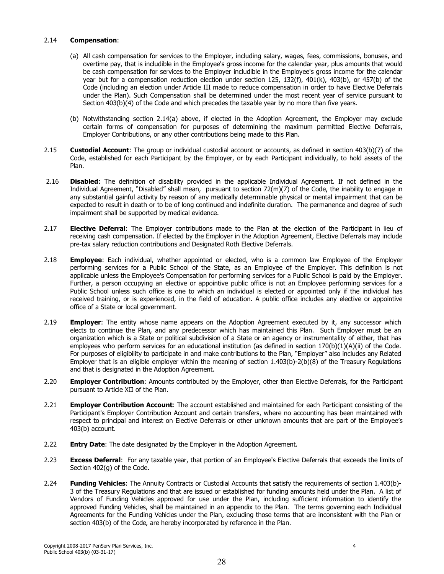#### $2.14$ **Compensation:**

- (a) All cash compensation for services to the Employer, including salary, wages, fees, commissions, bonuses, and overtime pay, that is includible in the Employee's gross income for the calendar year, plus amounts that would be cash compensation for services to the Employer includible in the Employee's gross income for the calendar year but for a compensation reduction election under section 125, 132(f), 401(k), 403(b), or 457(b) of the Code (including an election under Article III made to reduce compensation in order to have Elective Deferrals under the Plan). Such Compensation shall be determined under the most recent year of service pursuant to Section 403(b)(4) of the Code and which precedes the taxable year by no more than five years.
- (b) Notwithstanding section 2.14(a) above, if elected in the Adoption Agreement, the Employer may exclude certain forms of compensation for purposes of determining the maximum permitted Elective Deferrals, Employer Contributions, or any other contributions being made to this Plan.
- $2.15$ **Custodial Account:** The group or individual custodial account or accounts, as defined in section 403(b)(7) of the Code, established for each Participant by the Employer, or by each Participant individually, to hold assets of the Plan.
- $2.16$ **Disabled:** The definition of disability provided in the applicable Individual Agreement. If not defined in the Individual Agreement, "Disabled" shall mean, pursuant to section  $72(m)(7)$  of the Code, the inability to engage in any substantial gainful activity by reason of any medically determinable physical or mental impairment that can be expected to result in death or to be of long continued and indefinite duration. The permanence and degree of such impairment shall be supported by medical evidence.
- $2.17$ Elective Deferral: The Employer contributions made to the Plan at the election of the Participant in lieu of receiving cash compensation. If elected by the Employer in the Adoption Agreement, Elective Deferrals may include pre-tax salary reduction contributions and Designated Roth Elective Deferrals.
- 2.18 Employee: Each individual, whether appointed or elected, who is a common law Employee of the Employer performing services for a Public School of the State, as an Employee of the Employer. This definition is not applicable unless the Employee's Compensation for performing services for a Public School is paid by the Employer. Further, a person occupying an elective or appointive public office is not an Employee performing services for a Public School unless such office is one to which an individual is elected or appointed only if the individual has received training, or is experienced, in the field of education. A public office includes any elective or appointive office of a State or local government.
- $2.19$ **Employer:** The entity whose name appears on the Adoption Agreement executed by it, any successor which elects to continue the Plan, and any predecessor which has maintained this Plan. Such Employer must be an organization which is a State or political subdivision of a State or an agency or instrumentality of either, that has employees who perform services for an educational institution (as defined in section  $170(b)(1)(A)(ii)$  of the Code. For purposes of eligibility to participate in and make contributions to the Plan, "Employer" also includes any Related Employer that is an eligible employer within the meaning of section  $1.403(b)$ - $2(b)(8)$  of the Treasury Regulations and that is designated in the Adoption Agreement.
- 2.20 Employer Contribution: Amounts contributed by the Employer, other than Elective Deferrals, for the Participant pursuant to Article XII of the Plan.
- $2.21$ **Employer Contribution Account:** The account established and maintained for each Participant consisting of the Participant's Employer Contribution Account and certain transfers, where no accounting has been maintained with respect to principal and interest on Elective Deferrals or other unknown amounts that are part of the Employee's 403(b) account.
- $2.22$ **Entry Date:** The date designated by the Employer in the Adoption Agreement.
- $2.23$ **Excess Deferral:** For any taxable year, that portion of an Employee's Elective Deferrals that exceeds the limits of Section 402(q) of the Code.
- $2.24$ Funding Vehicles: The Annuity Contracts or Custodial Accounts that satisfy the requirements of section 1.403(b)-3 of the Treasury Regulations and that are issued or established for funding amounts held under the Plan. A list of Vendors of Funding Vehicles approved for use under the Plan, including sufficient information to identify the approved Funding Vehicles, shall be maintained in an appendix to the Plan. The terms governing each Individual Agreements for the Funding Vehicles under the Plan, excluding those terms that are inconsistent with the Plan or section 403(b) of the Code, are hereby incorporated by reference in the Plan.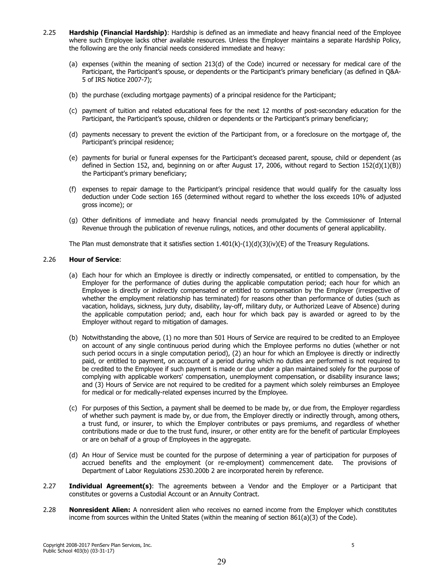- $2.25$ Hardship (Financial Hardship): Hardship is defined as an immediate and heavy financial need of the Employee where such Employee lacks other available resources. Unless the Employer maintains a separate Hardship Policy, the following are the only financial needs considered immediate and heavy:
	- (a) expenses (within the meaning of section 213(d) of the Code) incurred or necessary for medical care of the Participant, the Participant's spouse, or dependents or the Participant's primary beneficiary (as defined in Q&A-5 of IRS Notice 2007-7);
	- (b) the purchase (excluding mortgage payments) of a principal residence for the Participant;
	- (c) payment of tuition and related educational fees for the next 12 months of post-secondary education for the Participant, the Participant's spouse, children or dependents or the Participant's primary beneficiary;
	- (d) payments necessary to prevent the eviction of the Participant from, or a foreclosure on the mortgage of, the Participant's principal residence:
	- (e) payments for burial or funeral expenses for the Participant's deceased parent, spouse, child or dependent (as defined in Section 152, and, beginning on or after August 17, 2006, without regard to Section 152(d)(1)(B)) the Participant's primary beneficiary;
	- (f) expenses to repair damage to the Participant's principal residence that would qualify for the casualty loss deduction under Code section 165 (determined without regard to whether the loss exceeds 10% of adjusted aross income); or
	- (g) Other definitions of immediate and heavy financial needs promulgated by the Commissioner of Internal Revenue through the publication of revenue rulings, notices, and other documents of general applicability.

The Plan must demonstrate that it satisfies section  $1.401(k)-(1)(d)(3)(iv)(E)$  of the Treasury Regulations.

#### 2.26 **Hour of Service:**

- (a) Each hour for which an Employee is directly or indirectly compensated, or entitled to compensation, by the Employer for the performance of duties during the applicable computation period; each hour for which an Employee is directly or indirectly compensated or entitled to compensation by the Employer (irrespective of whether the employment relationship has terminated) for reasons other than performance of duties (such as vacation, holidays, sickness, jury duty, disability, lay-off, military duty, or Authorized Leave of Absence) during the applicable computation period; and, each hour for which back pay is awarded or agreed to by the Employer without regard to mitigation of damages.
- (b) Notwithstanding the above, (1) no more than 501 Hours of Service are required to be credited to an Employee on account of any single continuous period during which the Employee performs no duties (whether or not such period occurs in a single computation period), (2) an hour for which an Employee is directly or indirectly paid, or entitled to payment, on account of a period during which no duties are performed is not required to be credited to the Employee if such payment is made or due under a plan maintained solely for the purpose of complying with applicable workers' compensation, unemployment compensation, or disability insurance laws; and (3) Hours of Service are not required to be credited for a payment which solely reimburses an Employee for medical or for medically-related expenses incurred by the Employee.
- (c) For purposes of this Section, a payment shall be deemed to be made by, or due from, the Employer regardless of whether such payment is made by, or due from, the Employer directly or indirectly through, among others, a trust fund, or insurer, to which the Employer contributes or pays premiums, and regardless of whether contributions made or due to the trust fund, insurer, or other entity are for the benefit of particular Employees or are on behalf of a group of Employees in the aggregate.
- (d) An Hour of Service must be counted for the purpose of determining a year of participation for purposes of accrued benefits and the employment (or re-employment) commencement date. The provisions of Department of Labor Regulations 2530.200b 2 are incorporated herein by reference.
- $2.27$ Individual Agreement(s): The agreements between a Vendor and the Employer or a Participant that constitutes or governs a Custodial Account or an Annuity Contract.
- 2.28 Nonresident Alien: A nonresident alien who receives no earned income from the Employer which constitutes income from sources within the United States (within the meaning of section 861(a)(3) of the Code).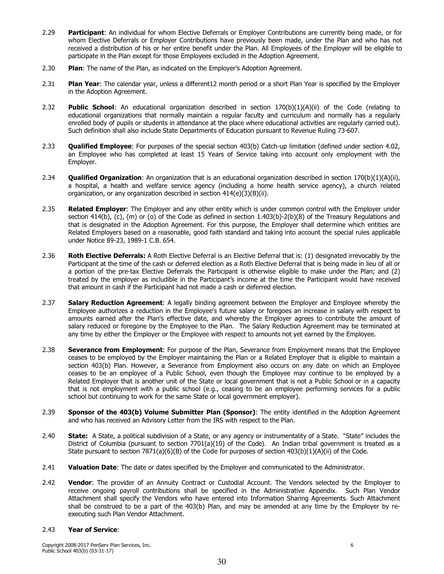- $2.29$ Participant: An individual for whom Elective Deferrals or Employer Contributions are currently being made, or for whom Elective Deferrals or Employer Contributions have previously been made, under the Plan and who has not received a distribution of his or her entire benefit under the Plan. All Employees of the Employer will be eligible to participate in the Plan except for those Employees excluded in the Adoption Agreement.
- 2.30 Plan: The name of the Plan, as indicated on the Employer's Adoption Agreement.
- $2.31$ Plan Year: The calendar year, unless a different12 month period or a short Plan Year is specified by the Employer in the Adoption Agreement.
- 2.32 **Public School:** An educational organization described in section  $170(b)(1)(A)(ii)$  of the Code (relating to educational organizations that normally maintain a regular faculty and curriculum and normally has a regularly enrolled body of pupils or students in attendance at the place where educational activities are regularly carried out). Such definition shall also include State Departments of Education pursuant to Revenue Ruling 73-607.
- 2.33 **Qualified Employee**: For purposes of the special section 403(b) Catch-up limitation (defined under section 4.02, an Employee who has completed at least 15 Years of Service taking into account only employment with the Employer.
- $2.34$ **Qualified Organization:** An organization that is an educational organization described in section 170(b)(1)(A)(ii), a hospital, a health and welfare service agency (including a home health service agency), a church related organization, or any organization described in section 414(e)(3)(B)(ii).
- 2.35 **Related Emplover:** The Emplover and any other entity which is under common control with the Emplover under section 414(b), (c), (m) or (o) of the Code as defined in section  $1.403(b)$ -2(b)(8) of the Treasury Regulations and that is designated in the Adoption Agreement. For this purpose, the Employer shall determine which entities are Related Employers based on a reasonable, good faith standard and taking into account the special rules applicable under Notice 89-23, 1989-1 C.B. 654.
- 2.36 Roth Elective Deferrals: A Roth Elective Deferral is an Elective Deferral that is: (1) designated irrevocably by the Participant at the time of the cash or deferred election as a Roth Elective Deferral that is being made in lieu of all or a portion of the pre-tax Elective Deferrals the Participant is otherwise eligible to make under the Plan; and (2) treated by the employer as includible in the Participant's income at the time the Participant would have received that amount in cash if the Participant had not made a cash or deferred election.
- 2.37 Salary Reduction Agreement: A legally binding agreement between the Employer and Employee whereby the Employee authorizes a reduction in the Employee's future salary or foregoes an increase in salary with respect to amounts earned after the Plan's effective date, and whereby the Employer agrees to contribute the amount of salary reduced or foregone by the Employee to the Plan. The Salary Reduction Agreement may be terminated at any time by either the Employer or the Employee with respect to amounts not yet earned by the Employee.
- Severance from Employment: For purpose of the Plan, Severance from Employment means that the Employee 2.38 ceases to be employed by the Employer maintaining the Plan or a Related Employer that is eligible to maintain a section 403(b) Plan. However, a Severance from Employment also occurs on any date on which an Employee ceases to be an employee of a Public School, even though the Employee may continue to be employed by a Related Employer that is another unit of the State or local government that is not a Public School or in a capacity that is not employment with a public school (e.g., ceasing to be an employee performing services for a public school but continuing to work for the same State or local government employer).
- 2.39 Sponsor of the 403(b) Volume Submitter Plan (Sponsor): The entity identified in the Adoption Agreement and who has received an Advisory Letter from the IRS with respect to the Plan.
- 2.40 State: A State, a political subdivision of a State, or any agency or instrumentality of a State. "State" includes the District of Columbia (pursuant to section  $7701(a)(10)$  of the Code). An Indian tribal government is treated as a State pursuant to section 7871(a)(6)(B) of the Code for purposes of section 403(b)(1)(A)(ii) of the Code.
- $2.41$ Valuation Date: The date or dates specified by the Employer and communicated to the Administrator.
- 2.42 Vendor: The provider of an Annuity Contract or Custodial Account. The Vendors selected by the Employer to receive ongoing payroll contributions shall be specified in the Administrative Appendix. Such Plan Vendor Attachment shall specify the Vendors who have entered into Information Sharing Agreements. Such Attachment shall be construed to be a part of the 403(b) Plan, and may be amended at any time by the Employer by reexecuting such Plan Vendor Attachment.

#### $2.43$ **Year of Service:**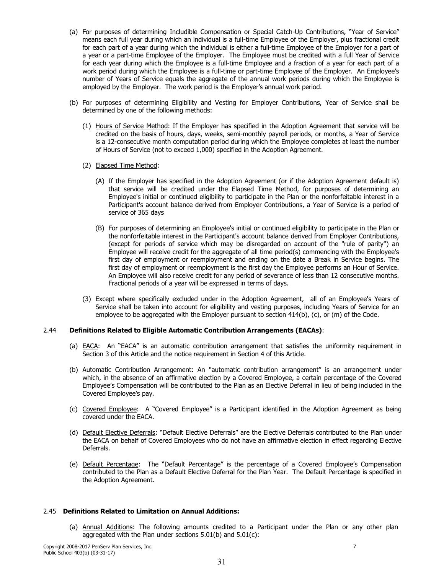- (a) For purposes of determining Includible Compensation or Special Catch-Up Contributions, "Year of Service" means each full year during which an individual is a full-time Employee of the Employer, plus fractional credit for each part of a year during which the individual is either a full-time Employee of the Employer for a part of a year or a part-time Employee of the Employer. The Employee must be credited with a full Year of Service for each year during which the Employee is a full-time Employee and a fraction of a year for each part of a work period during which the Employee is a full-time or part-time Employee of the Employer. An Employee's number of Years of Service equals the aggregate of the annual work periods during which the Employee is employed by the Employer. The work period is the Employer's annual work period.
- (b) For purposes of determining Eligibility and Vesting for Employer Contributions, Year of Service shall be determined by one of the following methods:
	- (1) Hours of Service Method: If the Employer has specified in the Adoption Agreement that service will be credited on the basis of hours, days, weeks, semi-monthly payroll periods, or months, a Year of Service is a 12-consecutive month computation period during which the Employee completes at least the number of Hours of Service (not to exceed 1,000) specified in the Adoption Agreement.
	- (2) Elapsed Time Method:
		- (A) If the Employer has specified in the Adoption Agreement (or if the Adoption Agreement default is) that service will be credited under the Elapsed Time Method, for purposes of determining an Employee's initial or continued eligibility to participate in the Plan or the nonforfeitable interest in a Participant's account balance derived from Employer Contributions, a Year of Service is a period of service of 365 days
		- (B) For purposes of determining an Employee's initial or continued eligibility to participate in the Plan or the nonforfeitable interest in the Participant's account balance derived from Employer Contributions, (except for periods of service which may be disregarded on account of the "rule of parity") an Employee will receive credit for the aggregate of all time period(s) commencing with the Employee's first day of employment or reemployment and ending on the date a Break in Service begins. The first day of employment or reemployment is the first day the Employee performs an Hour of Service. An Employee will also receive credit for any period of severance of less than 12 consecutive months. Fractional periods of a year will be expressed in terms of days.
	- (3) Except where specifically excluded under in the Adoption Agreement, all of an Employee's Years of Service shall be taken into account for eligibility and vesting purposes, including Years of Service for an employee to be aggregated with the Employer pursuant to section 414(b), (c), or (m) of the Code.

#### $2.44$ **Definitions Related to Eligible Automatic Contribution Arrangements (EACAs):**

- (a) EACA: An "EACA" is an automatic contribution arrangement that satisfies the uniformity requirement in Section 3 of this Article and the notice requirement in Section 4 of this Article.
- (b) Automatic Contribution Arrangement: An "automatic contribution arrangement" is an arrangement under which, in the absence of an affirmative election by a Covered Employee, a certain percentage of the Covered Employee's Compensation will be contributed to the Plan as an Elective Deferral in lieu of being included in the Covered Employee's pay.
- (c) Covered Employee: A "Covered Employee" is a Participant identified in the Adoption Agreement as being covered under the EACA.
- (d) Default Elective Deferrals: "Default Elective Deferrals" are the Elective Deferrals contributed to the Plan under the EACA on behalf of Covered Employees who do not have an affirmative election in effect regarding Elective Deferrals.
- (e) Default Percentage: The "Default Percentage" is the percentage of a Covered Employee's Compensation contributed to the Plan as a Default Elective Deferral for the Plan Year. The Default Percentage is specified in the Adoption Agreement.

# 2.45 Definitions Related to Limitation on Annual Additions:

(a) Annual Additions: The following amounts credited to a Participant under the Plan or any other plan aggregated with the Plan under sections 5.01(b) and 5.01(c):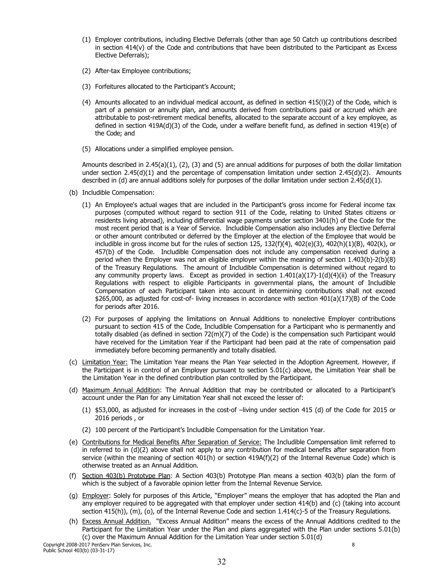- (1) Employer contributions, including Elective Deferrals (other than age 50 Catch up contributions described in section  $414(v)$  of the Code and contributions that have been distributed to the Participant as Excess Elective Deferrals);
- (2) After-tax Employee contributions;
- (3) Forfeitures allocated to the Participant's Account;
- (4) Amounts allocated to an individual medical account, as defined in section 415(I)(2) of the Code, which is part of a pension or annuity plan, and amounts derived from contributions paid or accrued which are attributable to post-retirement medical benefits, allocated to the separate account of a key employee, as defined in section 419A(d)(3) of the Code, under a welfare benefit fund, as defined in section 419(e) of the Code: and
- (5) Allocations under a simplified employee pension.

Amounts described in  $2.45(a)(1)$ , (2), (3) and (5) are annual additions for purposes of both the dollar limitation under section 2.45(d)(1) and the percentage of compensation limitation under section 2.45(d)(2). Amounts described in (d) are annual additions solely for purposes of the dollar limitation under section  $2.45(d)(1)$ .

- (b) Includible Compensation:
	- (1) An Employee's actual wages that are included in the Participant's gross income for Federal income tax purposes (computed without regard to section 911 of the Code, relating to United States citizens or residents living abroad), including differential wage payments under section 3401(h) of the Code for the most recent period that is a Year of Service. Includible Compensation also includes any Elective Deferral or other amount contributed or deferred by the Employer at the election of the Employee that would be includible in gross income but for the rules of section 125, 132(f)(4), 402(e)(3), 402(h)(1)(B), 402(k), or 457(b) of the Code. Includible Compensation does not include any compensation received during a period when the Employer was not an eligible employer within the meaning of section 1.403(b)-2(b)(8) of the Treasury Regulations. The amount of Includible Compensation is determined without regard to any community property laws. Except as provided in section  $1.401(a)(17)-1(d)(4)(ii)$  of the Treasury Regulations with respect to eligible Participants in governmental plans, the amount of Includible Compensation of each Participant taken into account in determining contributions shall not exceed \$265,000, as adjusted for cost-of- living increases in accordance with section  $401(a)(17)(B)$  of the Code for periods after 2016.
	- (2) For purposes of applying the limitations on Annual Additions to nonelective Employer contributions pursuant to section 415 of the Code, Includible Compensation for a Participant who is permanently and totally disabled (as defined in section 72(m)(7) of the Code) is the compensation such Participant would have received for the Limitation Year if the Participant had been paid at the rate of compensation paid immediately before becoming permanently and totally disabled.
- (c) Limitation Year: The Limitation Year means the Plan Year selected in the Adoption Agreement. However, if the Participant is in control of an Employer pursuant to section 5.01(c) above, the Limitation Year shall be the Limitation Year in the defined contribution plan controlled by the Participant.
- (d) Maximum Annual Addition: The Annual Addition that may be contributed or allocated to a Participant's account under the Plan for any Limitation Year shall not exceed the lesser of:
	- (1) \$53,000, as adjusted for increases in the cost-of -living under section 415 (d) of the Code for 2015 or 2016 periods, or
	- (2) 100 percent of the Participant's Includible Compensation for the Limitation Year.
- (e) Contributions for Medical Benefits After Separation of Service: The Includible Compensation limit referred to in referred to in (d)(2) above shall not apply to any contribution for medical benefits after separation from service (within the meaning of section 401(h) or section 419A(f)(2) of the Internal Revenue Code) which is otherwise treated as an Annual Addition.
- (f) Section 403(b) Prototype Plan: A Section 403(b) Prototype Plan means a section 403(b) plan the form of which is the subject of a favorable opinion letter from the Internal Revenue Service.
- (q) Employer: Solely for purposes of this Article, "Employer" means the employer that has adopted the Plan and any employer required to be aggregated with that employer under section 414(b) and (c) (taking into account section 415(h)), (m), (o), of the Internal Revenue Code and section  $1.414(c)$ -5 of the Treasury Regulations.
- (h) Excess Annual Addition. "Excess Annual Addition" means the excess of the Annual Additions credited to the Participant for the Limitation Year under the Plan and plans aggregated with the Plan under sections 5.01(b) (c) over the Maximum Annual Addition for the Limitation Year under section 5.01(d)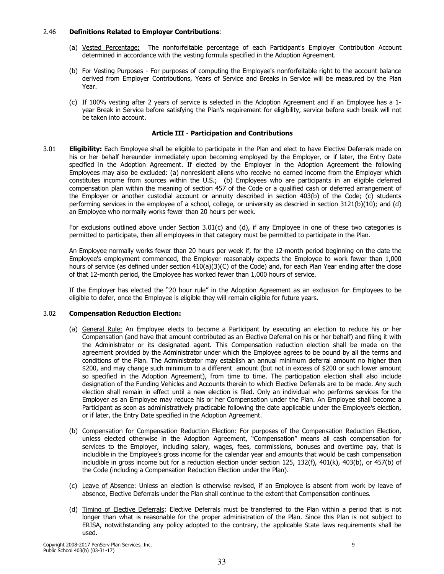#### 2.46 **Definitions Related to Employer Contributions:**

- (a) Vested Percentage: The nonforfeitable percentage of each Participant's Employer Contribution Account determined in accordance with the vesting formula specified in the Adoption Agreement.
- (b) For Vesting Purposes For purposes of computing the Employee's nonforfeitable right to the account balance derived from Employer Contributions, Years of Service and Breaks in Service will be measured by the Plan Year.
- (c) If 100% vesting after 2 years of service is selected in the Adoption Agreement and if an Employee has a 1year Break in Service before satisfying the Plan's requirement for eligibility, service before such break will not be taken into account.

# **Article III - Participation and Contributions**

 $3.01$ **Eligibility:** Each Employee shall be eligible to participate in the Plan and elect to have Elective Deferrals made on his or her behalf hereunder immediately upon becoming emploved by the Emplover, or if later, the Entry Date specified in the Adoption Agreement. If elected by the Employer in the Adoption Agreement the following Employees may also be excluded: (a) nonresident aliens who receive no earned income from the Employer which constitutes income from sources within the U.S.; (b) Employees who are participants in an eligible deferred compensation plan within the meaning of section 457 of the Code or a qualified cash or deferred arrangement of the Employer or another custodial account or annuity described in section 403(b) of the Code; (c) students performing services in the employee of a school, college, or university as descried in section 3121(b)(10); and (d) an Employee who normally works fewer than 20 hours per week.

For exclusions outlined above under Section  $3.01(c)$  and (d), if any Employee in one of these two categories is permitted to participate, then all employees in that category must be permitted to participate in the Plan.

An Employee normally works fewer than 20 hours per week if, for the 12-month period beginning on the date the Employee's employment commenced, the Employer reasonably expects the Employee to work fewer than 1,000 hours of service (as defined under section 410(a)(3)(C) of the Code) and, for each Plan Year ending after the close of that 12-month period, the Employee has worked fewer than 1,000 hours of service.

If the Employer has elected the "20 hour rule" in the Adoption Agreement as an exclusion for Employees to be eligible to defer, once the Employee is eligible they will remain eligible for future years.

#### $3.02$ **Compensation Reduction Election:**

- (a) General Rule: An Employee elects to become a Participant by executing an election to reduce his or her Compensation (and have that amount contributed as an Elective Deferral on his or her behalf) and filing it with the Administrator or its designated agent. This Compensation reduction election shall be made on the agreement provided by the Administrator under which the Employee agrees to be bound by all the terms and conditions of the Plan. The Administrator may establish an annual minimum deferral amount no higher than \$200, and may change such minimum to a different amount (but not in excess of \$200 or such lower amount so specified in the Adoption Agreement), from time to time. The participation election shall also include designation of the Funding Vehicles and Accounts therein to which Elective Deferrals are to be made. Any such election shall remain in effect until a new election is filed. Only an individual who performs services for the Employer as an Employee may reduce his or her Compensation under the Plan. An Employee shall become a Participant as soon as administratively practicable following the date applicable under the Employee's election, or if later, the Entry Date specified in the Adoption Agreement.
- (b) Compensation for Compensation Reduction Election: For purposes of the Compensation Reduction Election, unless elected otherwise in the Adoption Agreement, "Compensation" means all cash compensation for services to the Employer, including salary, wages, fees, commissions, bonuses and overtime pay, that is includible in the Employee's gross income for the calendar year and amounts that would be cash compensation includible in gross income but for a reduction election under section 125, 132(f), 401(k), 403(b), or 457(b) of the Code (including a Compensation Reduction Election under the Plan).
- (c) Leave of Absence: Unless an election is otherwise revised, if an Employee is absent from work by leave of absence, Elective Deferrals under the Plan shall continue to the extent that Compensation continues.
- (d) Timing of Elective Deferrals: Elective Deferrals must be transferred to the Plan within a period that is not longer than what is reasonable for the proper administration of the Plan. Since this Plan is not subject to ERISA, notwithstanding any policy adopted to the contrary, the applicable State laws requirements shall be used.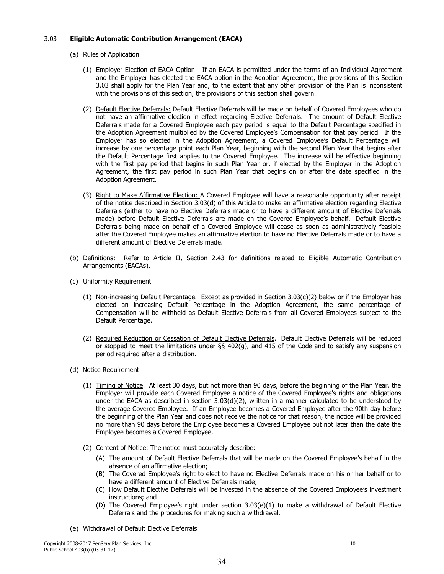#### $3.03$ **Eligible Automatic Contribution Arrangement (EACA)**

- (a) Rules of Application
	- (1) Employer Election of EACA Option: If an EACA is permitted under the terms of an Individual Agreement and the Employer has elected the EACA option in the Adoption Agreement, the provisions of this Section 3.03 shall apply for the Plan Year and, to the extent that any other provision of the Plan is inconsistent with the provisions of this section, the provisions of this section shall govern.
	- (2) Default Elective Deferrals: Default Elective Deferrals will be made on behalf of Covered Employees who do not have an affirmative election in effect regarding Elective Deferrals. The amount of Default Elective Deferrals made for a Covered Employee each pay period is equal to the Default Percentage specified in the Adoption Agreement multiplied by the Covered Employee's Compensation for that pay period. If the Employer has so elected in the Adoption Agreement, a Covered Employee's Default Percentage will increase by one percentage point each Plan Year, beginning with the second Plan Year that begins after the Default Percentage first applies to the Covered Employee. The increase will be effective beginning with the first pay period that begins in such Plan Year or, if elected by the Employer in the Adoption Agreement, the first pay period in such Plan Year that begins on or after the date specified in the Adoption Agreement.
	- (3) Right to Make Affirmative Election: A Covered Employee will have a reasonable opportunity after receipt of the notice described in Section 3.03(d) of this Article to make an affirmative election regarding Elective Deferrals (either to have no Elective Deferrals made or to have a different amount of Elective Deferrals made) before Default Elective Deferrals are made on the Covered Employee's behalf. Default Elective Deferrals being made on behalf of a Covered Employee will cease as soon as administratively feasible after the Covered Employee makes an affirmative election to have no Elective Deferrals made or to have a different amount of Elective Deferrals made.
- (b) Definitions: Refer to Article II, Section 2.43 for definitions related to Eligible Automatic Contribution Arrangements (EACAs).
- (c) Uniformity Requirement
	- (1) Non-increasing Default Percentage. Except as provided in Section 3.03(c)(2) below or if the Employer has elected an increasing Default Percentage in the Adoption Agreement, the same percentage of Compensation will be withheld as Default Elective Deferrals from all Covered Employees subject to the Default Percentage.
	- (2) Required Reduction or Cessation of Default Elective Deferrals. Default Elective Deferrals will be reduced or stopped to meet the limitations under  $\S_5$  402(q), and 415 of the Code and to satisfy any suspension period required after a distribution.
- (d) Notice Requirement
	- (1) Timing of Notice. At least 30 days, but not more than 90 days, before the beginning of the Plan Year, the Employer will provide each Covered Employee a notice of the Covered Employee's rights and obligations under the EACA as described in section  $3.03(d)(2)$ , written in a manner calculated to be understood by the average Covered Employee. If an Employee becomes a Covered Employee after the 90th day before the beginning of the Plan Year and does not receive the notice for that reason, the notice will be provided no more than 90 days before the Employee becomes a Covered Employee but not later than the date the Employee becomes a Covered Employee.
	- (2) Content of Notice: The notice must accurately describe:
		- (A) The amount of Default Elective Deferrals that will be made on the Covered Employee's behalf in the absence of an affirmative election;
		- (B) The Covered Employee's right to elect to have no Elective Deferrals made on his or her behalf or to have a different amount of Elective Deferrals made;
		- (C) How Default Elective Deferrals will be invested in the absence of the Covered Employee's investment instructions: and
		- (D) The Covered Employee's right under section 3.03(e)(1) to make a withdrawal of Default Elective Deferrals and the procedures for making such a withdrawal.
- (e) Withdrawal of Default Elective Deferrals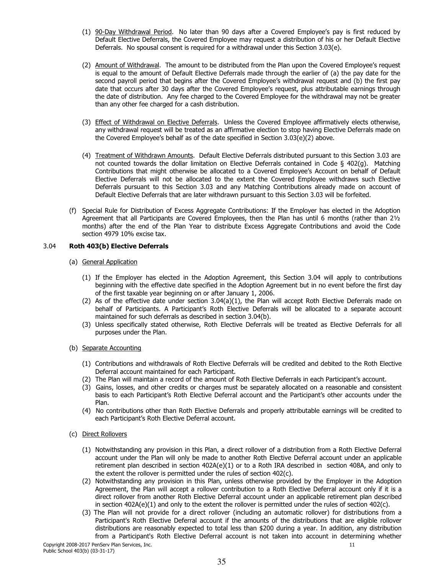- (1) 90-Day Withdrawal Period. No later than 90 days after a Covered Employee's pay is first reduced by Default Elective Deferrals, the Covered Employee may request a distribution of his or her Default Elective Deferrals. No spousal consent is required for a withdrawal under this Section 3.03(e).
- (2) Amount of Withdrawal. The amount to be distributed from the Plan upon the Covered Emplovee's request is equal to the amount of Default Elective Deferrals made through the earlier of (a) the pay date for the second payroll period that begins after the Covered Employee's withdrawal request and (b) the first pay date that occurs after 30 days after the Covered Employee's request, plus attributable earnings through the date of distribution. Any fee charged to the Covered Employee for the withdrawal may not be greater than any other fee charged for a cash distribution.
- (3) Effect of Withdrawal on Elective Deferrals. Unless the Covered Employee affirmatively elects otherwise, any withdrawal request will be treated as an affirmative election to stop having Elective Deferrals made on the Covered Employee's behalf as of the date specified in Section 3.03(e)(2) above.
- (4) Treatment of Withdrawn Amounts. Default Elective Deferrals distributed pursuant to this Section 3.03 are not counted towards the dollar limitation on Elective Deferrals contained in Code § 402(g). Matching Contributions that might otherwise be allocated to a Covered Employee's Account on behalf of Default Elective Deferrals will not be allocated to the extent the Covered Employee withdraws such Elective Deferrals pursuant to this Section 3.03 and any Matching Contributions already made on account of Default Elective Deferrals that are later withdrawn pursuant to this Section 3.03 will be forfeited.
- (f) Special Rule for Distribution of Excess Aggregate Contributions: If the Employer has elected in the Adoption Agreement that all Participants are Covered Employees, then the Plan has until 6 months (rather than 21/2 months) after the end of the Plan Year to distribute Excess Aggregate Contributions and avoid the Code section 4979 10% excise tax.

#### $3.04$ Roth 403(b) Elective Deferrals

## (a) General Application

- (1) If the Employer has elected in the Adoption Agreement, this Section 3.04 will apply to contributions beginning with the effective date specified in the Adoption Agreement but in no event before the first day of the first taxable year beginning on or after January 1, 2006.
- (2) As of the effective date under section 3.04(a)(1), the Plan will accept Roth Elective Deferrals made on behalf of Participants. A Participant's Roth Elective Deferrals will be allocated to a separate account maintained for such deferrals as described in section 3.04(b).
- (3) Unless specifically stated otherwise, Roth Elective Deferrals will be treated as Elective Deferrals for all purposes under the Plan.
- (b) Separate Accounting
	- (1) Contributions and withdrawals of Roth Elective Deferrals will be credited and debited to the Roth Elective Deferral account maintained for each Participant.
	- (2) The Plan will maintain a record of the amount of Roth Elective Deferrals in each Participant's account.
	- (3) Gains, losses, and other credits or charges must be separately allocated on a reasonable and consistent basis to each Participant's Roth Elective Deferral account and the Participant's other accounts under the Plan.
	- (4) No contributions other than Roth Elective Deferrals and properly attributable earnings will be credited to each Participant's Roth Elective Deferral account.
- (c) Direct Rollovers
	- (1) Notwithstanding any provision in this Plan, a direct rollover of a distribution from a Roth Elective Deferral account under the Plan will only be made to another Roth Elective Deferral account under an applicable retirement plan described in section 402A(e)(1) or to a Roth IRA described in section 408A, and only to the extent the rollover is permitted under the rules of section 402(c).
	- (2) Notwithstanding any provision in this Plan, unless otherwise provided by the Employer in the Adoption Agreement, the Plan will accept a rollover contribution to a Roth Elective Deferral account only if it is a direct rollover from another Roth Elective Deferral account under an applicable retirement plan described in section  $402A(e)(1)$  and only to the extent the rollover is permitted under the rules of section  $402(c)$ .
	- (3) The Plan will not provide for a direct rollover (including an automatic rollover) for distributions from a Participant's Roth Elective Deferral account if the amounts of the distributions that are eligible rollover distributions are reasonably expected to total less than \$200 during a year. In addition, any distribution from a Participant's Roth Elective Deferral account is not taken into account in determining whether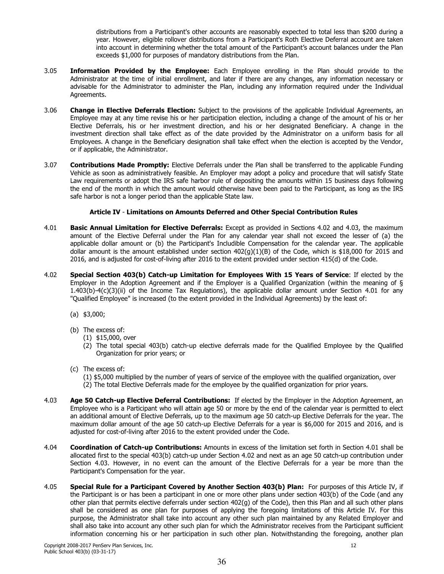distributions from a Participant's other accounts are reasonably expected to total less than \$200 during a year. However, eligible rollover distributions from a Participant's Roth Elective Deferral account are taken into account in determining whether the total amount of the Participant's account balances under the Plan exceeds \$1,000 for purposes of mandatory distributions from the Plan.

- $3.05$ Information Provided by the Emplovee: Each Emplovee enrolling in the Plan should provide to the Administrator at the time of initial enrollment, and later if there are any changes, any information necessary or advisable for the Administrator to administer the Plan, including any information required under the Individual Agreements.
- 3.06 Change in Elective Deferrals Election: Subject to the provisions of the applicable Individual Agreements, an Employee may at any time revise his or her participation election, including a change of the amount of his or her Elective Deferrals, his or her investment direction, and his or her designated Beneficiary. A change in the investment direction shall take effect as of the date provided by the Administrator on a uniform basis for all Employees. A change in the Beneficiary designation shall take effect when the election is accepted by the Vendor, or if applicable, the Administrator.
- 3.07 **Contributions Made Promptly:** Elective Deferrals under the Plan shall be transferred to the applicable Funding Vehicle as soon as administratively feasible. An Employer may adopt a policy and procedure that will satisfy State Law requirements or adopt the IRS safe harbor rule of depositing the amounts within 15 business days following the end of the month in which the amount would otherwise have been paid to the Participant, as long as the IRS safe harbor is not a longer period than the applicable State law.

# Article IV - Limitations on Amounts Deferred and Other Special Contribution Rules

- 4.01 Basic Annual Limitation for Elective Deferrals: Except as provided in Sections 4.02 and 4.03, the maximum amount of the Elective Deferral under the Plan for any calendar year shall not exceed the lesser of (a) the applicable dollar amount or (b) the Participant's Includible Compensation for the calendar year. The applicable dollar amount is the amount established under section  $402(g)(1)(B)$  of the Code, which is \$18,000 for 2015 and 2016, and is adjusted for cost-of-living after 2016 to the extent provided under section 415(d) of the Code.
- 4.02 Special Section 403(b) Catch-up Limitation for Employees With 15 Years of Service: If elected by the Employer in the Adoption Agreement and if the Employer is a Qualified Organization (within the meaning of  $\S$  $1.403(b)-4(c)(3)(ii)$  of the Income Tax Regulations), the applicable dollar amount under Section 4.01 for any "Oualified Employee" is increased (to the extent provided in the Individual Agreements) by the least of:
	- $(a)$  \$3,000;
	- (b) The excess of:
		- $(1)$  \$15,000, over
		- (2) The total special 403(b) catch-up elective deferrals made for the Qualified Employee by the Qualified Organization for prior years; or
	- (c) The excess of:

(1) \$5,000 multiplied by the number of years of service of the employee with the qualified organization, over (2) The total Elective Deferrals made for the employee by the qualified organization for prior years.

- $4.03$ Age 50 Catch-up Elective Deferral Contributions: If elected by the Employer in the Adoption Agreement, an Employee who is a Participant who will attain age 50 or more by the end of the calendar year is permitted to elect an additional amount of Elective Deferrals, up to the maximum age 50 catch-up Elective Deferrals for the year. The maximum dollar amount of the age 50 catch-up Elective Deferrals for a year is \$6,000 for 2015 and 2016, and is adjusted for cost-of-living after 2016 to the extent provided under the Code.
- $4.04$ Coordination of Catch-up Contributions: Amounts in excess of the limitation set forth in Section 4.01 shall be allocated first to the special 403(b) catch-up under Section 4.02 and next as an age 50 catch-up contribution under Section 4.03. However, in no event can the amount of the Elective Deferrals for a year be more than the Participant's Compensation for the year.
- 4.05 Special Rule for a Participant Covered by Another Section 403(b) Plan: For purposes of this Article IV, if the Participant is or has been a participant in one or more other plans under section 403(b) of the Code (and any other plan that permits elective deferrals under section 402(g) of the Code), then this Plan and all such other plans shall be considered as one plan for purposes of applying the foregoing limitations of this Article IV. For this purpose, the Administrator shall take into account any other such plan maintained by any Related Employer and shall also take into account any other such plan for which the Administrator receives from the Participant sufficient information concerning his or her participation in such other plan. Notwithstanding the foregoing, another plan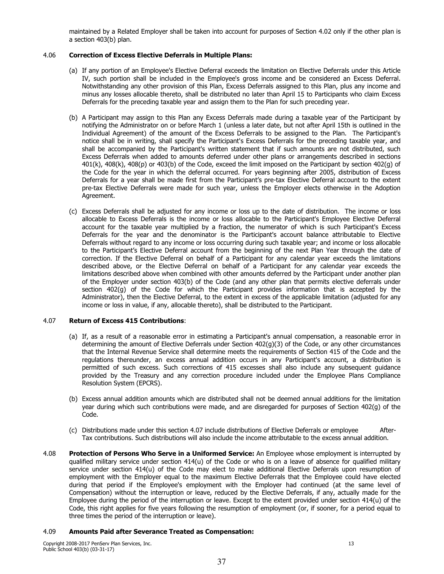maintained by a Related Employer shall be taken into account for purposes of Section 4.02 only if the other plan is a section 403(b) plan.

#### 4.06 **Correction of Excess Elective Deferrals in Multiple Plans:**

- (a) If any portion of an Employee's Elective Deferral exceeds the limitation on Elective Deferrals under this Article IV, such portion shall be included in the Employee's gross income and be considered an Excess Deferral. Notwithstanding any other provision of this Plan, Excess Deferrals assigned to this Plan, plus any income and minus any losses allocable thereto, shall be distributed no later than April 15 to Participants who claim Excess Deferrals for the preceding taxable year and assign them to the Plan for such preceding year.
- (b) A Participant may assign to this Plan any Excess Deferrals made during a taxable year of the Participant by notifying the Administrator on or before March 1 (unless a later date, but not after April 15th is outlined in the Individual Agreement) of the amount of the Excess Deferrals to be assigned to the Plan. The Participant's notice shall be in writing, shall specify the Participant's Excess Deferrals for the preceding taxable year, and shall be accompanied by the Participant's written statement that if such amounts are not distributed, such Excess Deferrals when added to amounts deferred under other plans or arrangements described in sections 401(k), 408(k), 408(p) or 403(b) of the Code, exceed the limit imposed on the Participant by section 402(q) of the Code for the year in which the deferral occurred. For years beginning after 2005, distribution of Excess Deferrals for a year shall be made first from the Participant's pre-tax Elective Deferral account to the extent pre-tax Elective Deferrals were made for such year, unless the Employer elects otherwise in the Adoption Agreement.
- (c) Excess Deferrals shall be adjusted for any income or loss up to the date of distribution. The income or loss allocable to Excess Deferrals is the income or loss allocable to the Participant's Employee Elective Deferral account for the taxable year multiplied by a fraction, the numerator of which is such Participant's Excess Deferrals for the year and the denominator is the Participant's account balance attributable to Elective Deferrals without regard to any income or loss occurring during such taxable year; and income or loss allocable to the Participant's Elective Deferral account from the beginning of the next Plan Year through the date of correction. If the Elective Deferral on behalf of a Participant for any calendar year exceeds the limitations described above, or the Elective Deferral on behalf of a Participant for any calendar year exceeds the limitations described above when combined with other amounts deferred by the Participant under another plan of the Employer under section 403(b) of the Code (and any other plan that permits elective deferrals under section 402(q) of the Code for which the Participant provides information that is accepted by the Administrator), then the Elective Deferral, to the extent in excess of the applicable limitation (adjusted for any income or loss in value, if any, allocable thereto), shall be distributed to the Participant.

#### **Return of Excess 415 Contributions:** 4.07

- (a) If, as a result of a reasonable error in estimating a Participant's annual compensation, a reasonable error in determining the amount of Elective Deferrals under Section  $402(q)(3)$  of the Code, or any other circumstances that the Internal Revenue Service shall determine meets the requirements of Section 415 of the Code and the regulations thereunder, an excess annual addition occurs in any Participant's account, a distribution is permitted of such excess. Such corrections of 415 excesses shall also include any subsequent guidance provided by the Treasury and any correction procedure included under the Employee Plans Compliance Resolution System (EPCRS).
- (b) Excess annual addition amounts which are distributed shall not be deemed annual additions for the limitation year during which such contributions were made, and are disregarded for purposes of Section 402(g) of the Code.
- (c) Distributions made under this section 4.07 include distributions of Elective Deferrals or employee After-Tax contributions. Such distributions will also include the income attributable to the excess annual addition.
- 4.08 Protection of Persons Who Serve in a Uniformed Service: An Employee whose employment is interrupted by qualified military service under section 414(u) of the Code or who is on a leave of absence for qualified military service under section 414(u) of the Code may elect to make additional Elective Deferrals upon resumption of employment with the Employer equal to the maximum Elective Deferrals that the Employee could have elected during that period if the Employee's employment with the Employer had continued (at the same level of Compensation) without the interruption or leave, reduced by the Elective Deferrals, if any, actually made for the Employee during the period of the interruption or leave. Except to the extent provided under section  $414(u)$  of the Code, this right applies for five years following the resumption of employment (or, if sooner, for a period equal to three times the period of the interruption or leave).

#### 4.09 **Amounts Paid after Severance Treated as Compensation:**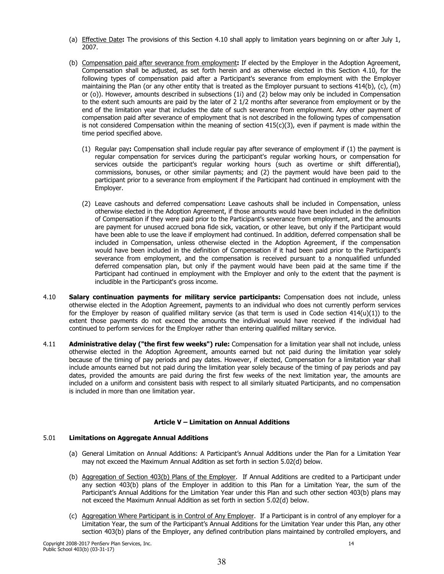- (a) Effective Date: The provisions of this Section 4.10 shall apply to limitation years beginning on or after July 1, 2007.
- (b) Compensation paid after severance from employment: If elected by the Employer in the Adoption Agreement, Compensation shall be adjusted, as set forth herein and as otherwise elected in this Section 4.10, for the following types of compensation paid after a Participant's severance from employment with the Employer maintaining the Plan (or any other entity that is treated as the Employer pursuant to sections 414(b), (c), (m) or (o)). However, amounts described in subsections (1i) and (2) below may only be included in Compensation to the extent such amounts are paid by the later of 2 1/2 months after severance from employment or by the end of the limitation year that includes the date of such severance from employment. Any other payment of compensation paid after severance of employment that is not described in the following types of compensation is not considered Compensation within the meaning of section  $415(c)(3)$ , even if payment is made within the time period specified above.
	- (1) Regular pay: Compensation shall include regular pay after severance of employment if (1) the payment is regular compensation for services during the participant's regular working hours, or compensation for services outside the participant's regular working hours (such as overtime or shift differential), commissions, bonuses, or other similar payments; and (2) the payment would have been paid to the participant prior to a severance from employment if the Participant had continued in employment with the Employer.
	- (2) Leave cashouts and deferred compensation: Leave cashouts shall be included in Compensation, unless otherwise elected in the Adoption Agreement, if those amounts would have been included in the definition of Compensation if they were paid prior to the Participant's severance from employment, and the amounts are payment for unused accrued bona fide sick, vacation, or other leave, but only if the Participant would have been able to use the leave if employment had continued. In addition, deferred compensation shall be included in Compensation, unless otherwise elected in the Adoption Agreement, if the compensation would have been included in the definition of Compensation if it had been paid prior to the Participant's severance from employment, and the compensation is received pursuant to a nongualified unfunded deferred compensation plan, but only if the payment would have been paid at the same time if the Participant had continued in employment with the Employer and only to the extent that the payment is includible in the Participant's gross income.
- $4.10$ Salary continuation payments for military service participants: Compensation does not include, unless otherwise elected in the Adoption Agreement, payments to an individual who does not currently perform services for the Employer by reason of qualified military service (as that term is used in Code section  $414(u)(1)$ ) to the extent those payments do not exceed the amounts the individual would have received if the individual had continued to perform services for the Employer rather than entering qualified military service.
- $4.11$ Administrative delay ("the first few weeks") rule: Compensation for a limitation year shall not include, unless otherwise elected in the Adoption Agreement, amounts earned but not paid during the limitation year solely because of the timing of pay periods and pay dates. However, if elected, Compensation for a limitation year shall include amounts earned but not paid during the limitation year solely because of the timing of pay periods and pay dates, provided the amounts are paid during the first few weeks of the next limitation year, the amounts are included on a uniform and consistent basis with respect to all similarly situated Participants, and no compensation is included in more than one limitation year.

# Article V - Limitation on Annual Additions

#### $5.01$ **Limitations on Aggregate Annual Additions**

- (a) General Limitation on Annual Additions: A Participant's Annual Additions under the Plan for a Limitation Year may not exceed the Maximum Annual Addition as set forth in section 5.02(d) below.
- (b) Aggregation of Section 403(b) Plans of the Employer. If Annual Additions are credited to a Participant under any section 403(b) plans of the Employer in addition to this Plan for a Limitation Year, the sum of the Participant's Annual Additions for the Limitation Year under this Plan and such other section 403(b) plans may not exceed the Maximum Annual Addition as set forth in section 5.02(d) below.
- (c) Aggregation Where Participant is in Control of Any Employer. If a Participant is in control of any employer for a Limitation Year, the sum of the Participant's Annual Additions for the Limitation Year under this Plan, any other section 403(b) plans of the Employer, any defined contribution plans maintained by controlled employers, and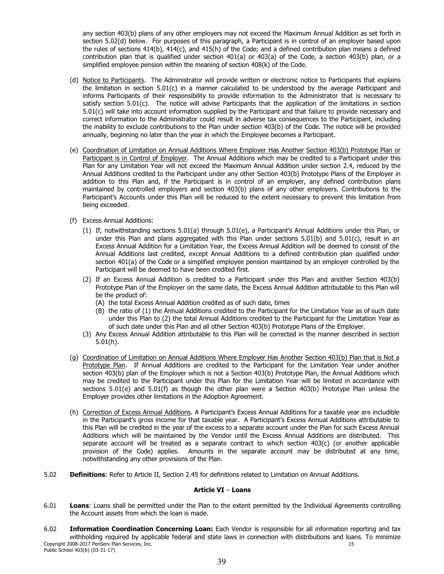any section 403(b) plans of any other employers may not exceed the Maximum Annual Addition as set forth in section 5.02(d) below. For purposes of this paragraph, a Participant is in control of an employer based upon the rules of sections 414(b), 414(c), and 415(h) of the Code; and a defined contribution plan means a defined contribution plan that is qualified under section 401(a) or 403(a) of the Code, a section 403(b) plan, or a simplified employee pension within the meaning of section 408(k) of the Code.

- (d) Notice to Participants. The Administrator will provide written or electronic notice to Participants that explains the limitation in section 5.01(c) in a manner calculated to be understood by the average Participant and informs Participants of their responsibility to provide information to the Administrator that is necessary to satisfy section 5.01(c). The notice will advise Participants that the application of the limitations in section 5.01(c) will take into account information supplied by the Participant and that failure to provide necessary and correct information to the Administrator could result in adverse tax consequences to the Participant, including the inability to exclude contributions to the Plan under section 403(b) of the Code. The notice will be provided annually, beginning no later than the year in which the Employee becomes a Participant.
- (e) Coordination of Limitation on Annual Additions Where Employer Has Another Section 403(b) Prototype Plan or Participant is in Control of Employer. The Annual Additions which may be credited to a Participant under this Plan for any Limitation Year will not exceed the Maximum Annual Addition under section 2.4, reduced by the Annual Additions credited to the Participant under any other Section 403(b) Prototype Plans of the Employer in addition to this Plan and, if the Participant is in control of an employer, any defined contribution plans maintained by controlled employers and section 403(b) plans of any other employers. Contributions to the Participant's Accounts under this Plan will be reduced to the extent necessary to prevent this limitation from being exceeded.
- (f) Excess Annual Additions:
	- (1) If, notwithstanding sections 5.01(a) through 5.01(e), a Participant's Annual Additions under this Plan, or under this Plan and plans aggregated with this Plan under sections  $5.01(b)$  and  $5.01(c)$ , result in an Excess Annual Addition for a Limitation Year, the Excess Annual Addition will be deemed to consist of the Annual Additions last credited, except Annual Additions to a defined contribution plan qualified under section 401(a) of the Code or a simplified employee pension maintained by an employer controlled by the Participant will be deemed to have been credited first.
	- (2) If an Excess Annual Addition is credited to a Participant under this Plan and another Section 403(b) Prototype Plan of the Employer on the same date, the Excess Annual Addition attributable to this Plan will be the product of:
		- (A) the total Excess Annual Addition credited as of such date, times
		- (B) the ratio of (1) the Annual Additions credited to the Participant for the Limitation Year as of such date under this Plan to (2) the total Annual Additions credited to the Participant for the Limitation Year as of such date under this Plan and all other Section 403(b) Prototype Plans of the Employer.
	- (3) Any Excess Annual Addition attributable to this Plan will be corrected in the manner described in section  $5.01(h)$ .
- (g) Coordination of Limitation on Annual Additions Where Employer Has Another Section 403(b) Plan that is Not a Prototype Plan. If Annual Additions are credited to the Participant for the Limitation Year under another section 403(b) plan of the Employer which is not a Section 403(b) Prototype Plan, the Annual Additions which may be credited to the Participant under this Plan for the Limitation Year will be limited in accordance with sections 5.01(e) and 5.01(f) as though the other plan were a Section 403(b) Prototype Plan unless the Employer provides other limitations in the Adoption Agreement.
- (h) Correction of Excess Annual Additions. A Participant's Excess Annual Additions for a taxable year are includible in the Participant's gross income for that taxable year. A Participant's Excess Annual Additions attributable to this Plan will be credited in the year of the excess to a separate account under the Plan for such Excess Annual Additions which will be maintained by the Vendor until the Excess Annual Additions are distributed. This separate account will be treated as a separate contract to which section  $403(c)$  (or another applicable provision of the Code) applies. Amounts in the separate account may be distributed at any time, notwithstanding any other provisions of the Plan.
- $5.02$ **Definitions:** Refer to Article II, Section 2.45 for definitions related to Limitation on Annual Additions.

## Article VI - Loans

- $6.01$ Loans: Loans shall be permitted under the Plan to the extent permitted by the Individual Agreements controlling the Account assets from which the loan is made.
- $6.02$ Information Coordination Concerning Loan: Each Vendor is responsible for all information reporting and tax withholding required by applicable federal and state laws in connection with distributions and loans. To minimize Copyright 2008-2017 PenServ Plan Services, Inc. 15 Public School 403(b) (03-31-17)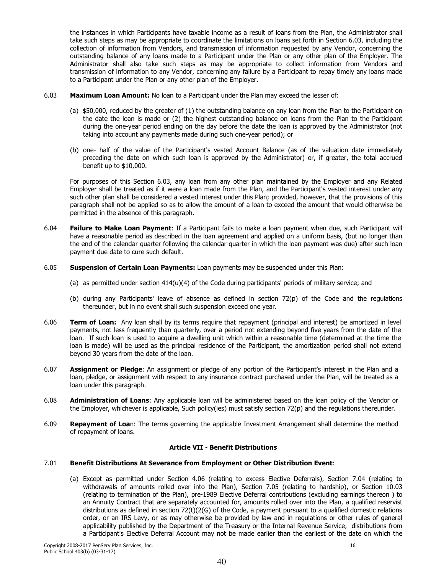the instances in which Participants have taxable income as a result of loans from the Plan, the Administrator shall take such steps as may be appropriate to coordinate the limitations on loans set forth in Section 6.03, including the collection of information from Vendors, and transmission of information requested by any Vendor, concerning the outstanding balance of any loans made to a Participant under the Plan or any other plan of the Employer. The Administrator shall also take such steps as may be appropriate to collect information from Vendors and transmission of information to any Vendor, concerning any failure by a Participant to repay timely any loans made to a Participant under the Plan or any other plan of the Employer.

- $6.03$ **Maximum Loan Amount:** No loan to a Participant under the Plan may exceed the lesser of:
	- (a) \$50,000, reduced by the greater of (1) the outstanding balance on any loan from the Plan to the Participant on the date the loan is made or (2) the highest outstanding balance on loans from the Plan to the Participant during the one-year period ending on the day before the date the loan is approved by the Administrator (not taking into account any payments made during such one-year period); or
	- (b) one- half of the value of the Participant's vested Account Balance (as of the valuation date immediately preceding the date on which such loan is approved by the Administrator) or, if greater, the total accrued benefit up to \$10,000.

For purposes of this Section 6.03, any loan from any other plan maintained by the Employer and any Related Employer shall be treated as if it were a loan made from the Plan, and the Participant's vested interest under any such other plan shall be considered a vested interest under this Plan: provided, however, that the provisions of this paragraph shall not be applied so as to allow the amount of a loan to exceed the amount that would otherwise be permitted in the absence of this paragraph.

- 6.04 Failure to Make Loan Payment: If a Participant fails to make a loan payment when due, such Participant will have a reasonable period as described in the loan agreement and applied on a uniform basis, (but no longer than the end of the calendar quarter following the calendar quarter in which the loan payment was due) after such loan payment due date to cure such default.
- $6.05$ Suspension of Certain Loan Payments: Loan payments may be suspended under this Plan:
	- (a) as permitted under section  $414(u)(4)$  of the Code during participants' periods of military service; and
	- (b) during any Participants' leave of absence as defined in section 72(p) of the Code and the regulations thereunder, but in no event shall such suspension exceed one year.
- 6.06 Term of Loan: Any loan shall by its terms require that repayment (principal and interest) be amortized in level payments, not less frequently than quarterly, over a period not extending beyond five years from the date of the loan. If such loan is used to acquire a dwelling unit which within a reasonable time (determined at the time the loan is made) will be used as the principal residence of the Participant, the amortization period shall not extend beyond 30 years from the date of the loan.
- 6.07 Assignment or Pledge: An assignment or pledge of any portion of the Participant's interest in the Plan and a loan, pledge, or assignment with respect to any insurance contract purchased under the Plan, will be treated as a loan under this paragraph.
- 6.08 Administration of Loans: Any applicable loan will be administered based on the loan policy of the Vendor or the Employer, whichever is applicable, Such policy(ies) must satisfy section 72(p) and the regulations thereunder.
- $6.09$ Repayment of Loan: The terms governing the applicable Investment Arrangement shall determine the method of repayment of loans.

# **Article VII - Benefit Distributions**

#### $7.01$ Benefit Distributions At Severance from Employment or Other Distribution Event:

(a) Except as permitted under Section 4.06 (relating to excess Elective Deferrals), Section 7.04 (relating to withdrawals of amounts rolled over into the Plan), Section 7.05 (relating to hardship), or Section 10.03 (relating to termination of the Plan), pre-1989 Elective Deferral contributions (excluding earnings thereon) to an Annuity Contract that are separately accounted for, amounts rolled over into the Plan, a qualified reservist distributions as defined in section  $72(t)(2(G)$  of the Code, a payment pursuant to a qualified domestic relations order, or an IRS Levy, or as may otherwise be provided by law and in regulations or other rules of general applicability published by the Department of the Treasury or the Internal Revenue Service, distributions from a Participant's Elective Deferral Account may not be made earlier than the earliest of the date on which the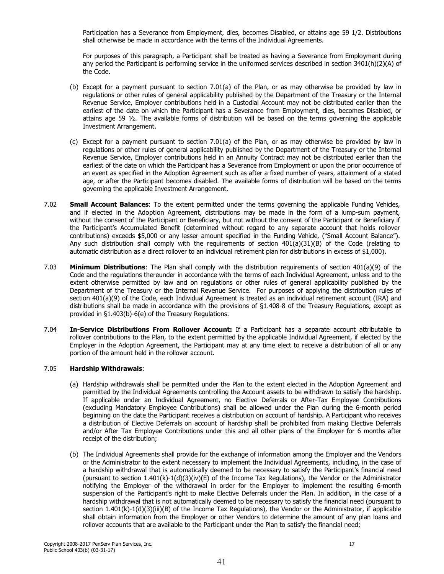Participation has a Severance from Employment, dies, becomes Disabled, or attains age 59 1/2. Distributions shall otherwise be made in accordance with the terms of the Individual Agreements.

For purposes of this paragraph, a Participant shall be treated as having a Severance from Employment during any period the Participant is performing service in the uniformed services described in section 3401(h)(2)(A) of the Code.

- (b) Except for a payment pursuant to section 7.01(a) of the Plan, or as may otherwise be provided by law in requlations or other rules of general applicability published by the Department of the Treasury or the Internal Revenue Service, Employer contributions held in a Custodial Account may not be distributed earlier than the earliest of the date on which the Participant has a Severance from Employment, dies, becomes Disabled, or attains age 59  $\frac{1}{2}$ . The available forms of distribution will be based on the terms governing the applicable Investment Arrangement.
- (c) Except for a payment pursuant to section 7.01(a) of the Plan, or as may otherwise be provided by law in regulations or other rules of general applicability published by the Department of the Treasury or the Internal Revenue Service, Employer contributions held in an Annuity Contract may not be distributed earlier than the earliest of the date on which the Participant has a Severance from Employment or upon the prior occurrence of an event as specified in the Adoption Agreement such as after a fixed number of years, attainment of a stated age, or after the Participant becomes disabled. The available forms of distribution will be based on the terms governing the applicable Investment Arrangement.
- $7.02$ **Small Account Balances:** To the extent permitted under the terms governing the applicable Funding Vehicles, and if elected in the Adoption Agreement, distributions may be made in the form of a lump-sum payment, without the consent of the Participant or Beneficiary, but not without the consent of the Participant or Beneficiary if the Participant's Accumulated Benefit (determined without regard to any separate account that holds rollover contributions) exceeds \$5,000 or any lesser amount specified in the Funding Vehicle, ("Small Account Balance"). Any such distribution shall comply with the requirements of section  $401(a)(31)(B)$  of the Code (relating to automatic distribution as a direct rollover to an individual retirement plan for distributions in excess of \$1,000).
- 7.03 Minimum Distributions: The Plan shall comply with the distribution requirements of section 401(a)(9) of the Code and the requlations thereunder in accordance with the terms of each Individual Agreement, unless and to the extent otherwise permitted by law and on regulations or other rules of general applicability published by the Department of the Treasury or the Internal Revenue Service. For purposes of applying the distribution rules of section 401(a)(9) of the Code, each Individual Agreement is treated as an individual retirement account (IRA) and distributions shall be made in accordance with the provisions of §1.408-8 of the Treasury Regulations, except as provided in §1.403(b)-6(e) of the Treasury Regulations.
- 7.04 In-Service Distributions From Rollover Account: If a Participant has a separate account attributable to rollover contributions to the Plan, to the extent permitted by the applicable Individual Agreement, if elected by the Employer in the Adoption Agreement, the Participant may at any time elect to receive a distribution of all or any portion of the amount held in the rollover account.

#### $7.05$ **Hardship Withdrawals:**

- (a) Hardship withdrawals shall be permitted under the Plan to the extent elected in the Adoption Agreement and permitted by the Individual Agreements controlling the Account assets to be withdrawn to satisfy the hardship. If applicable under an Individual Agreement, no Elective Deferrals or After-Tax Employee Contributions (excluding Mandatory Employee Contributions) shall be allowed under the Plan during the 6-month period beginning on the date the Participant receives a distribution on account of hardship. A Participant who receives a distribution of Elective Deferrals on account of hardship shall be prohibited from making Elective Deferrals and/or After Tax Employee Contributions under this and all other plans of the Employer for 6 months after receipt of the distribution;
- (b) The Individual Agreements shall provide for the exchange of information among the Employer and the Vendors or the Administrator to the extent necessary to implement the Individual Agreements, including, in the case of a hardship withdrawal that is automatically deemed to be necessary to satisfy the Participant's financial need (pursuant to section 1.401(k)-1(d)(3)(iv)(E) of the Income Tax Regulations), the Vendor or the Administrator notifying the Employer of the withdrawal in order for the Employer to implement the resulting 6-month suspension of the Participant's right to make Elective Deferrals under the Plan. In addition, in the case of a hardship withdrawal that is not automatically deemed to be necessary to satisfy the financial need (pursuant to section  $1.401(k)-1(d)(3)(iii)(B)$  of the Income Tax Regulations), the Vendor or the Administrator, if applicable shall obtain information from the Employer or other Vendors to determine the amount of any plan loans and rollover accounts that are available to the Participant under the Plan to satisfy the financial need;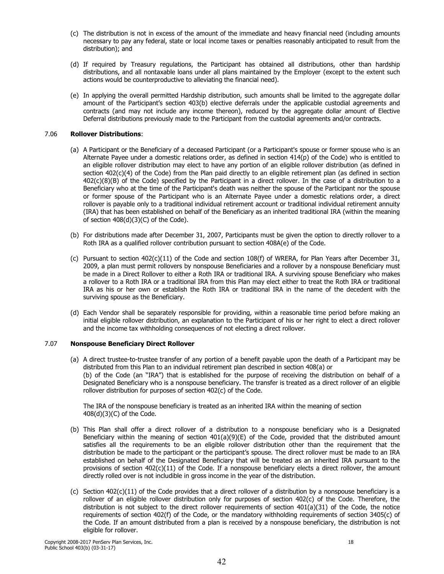- (c) The distribution is not in excess of the amount of the immediate and heavy financial need (including amounts necessary to pay any federal, state or local income taxes or penalties reasonably anticipated to result from the distribution); and
- (d) If required by Treasury regulations, the Participant has obtained all distributions, other than hardship distributions, and all nontaxable loans under all plans maintained by the Employer (except to the extent such actions would be counterproductive to alleviating the financial need).
- (e) In applying the overall permitted Hardship distribution, such amounts shall be limited to the aggregate dollar amount of the Participant's section 403(b) elective deferrals under the applicable custodial agreements and contracts (and may not include any income thereon), reduced by the aggregate dollar amount of Elective Deferral distributions previously made to the Participant from the custodial agreements and/or contracts.

#### 7.06 **Rollover Distributions:**

- (a) A Participant or the Beneficiary of a deceased Participant (or a Participant's spouse or former spouse who is an Alternate Payee under a domestic relations order, as defined in section 414(p) of the Code) who is entitled to an eligible rollover distribution may elect to have any portion of an eligible rollover distribution (as defined in section 402(c)(4) of the Code) from the Plan paid directly to an eligible retirement plan (as defined in section 402(c)(8)(B) of the Code) specified by the Participant in a direct rollover. In the case of a distribution to a Beneficiary who at the time of the Participant's death was neither the spouse of the Participant nor the spouse or former spouse of the Participant who is an Alternate Payee under a domestic relations order, a direct rollover is payable only to a traditional individual retirement account or traditional individual retirement annuity (IRA) that has been established on behalf of the Beneficiary as an inherited traditional IRA (within the meaning of section  $408(d)(3)(C)$  of the Code).
- (b) For distributions made after December 31, 2007, Participants must be given the option to directly rollover to a Roth IRA as a qualified rollover contribution pursuant to section 408A(e) of the Code.
- (c) Pursuant to section 402(c)(11) of the Code and section 108(f) of WRERA, for Plan Years after December 31, 2009, a plan must permit rollovers by nonspouse Beneficiaries and a rollover by a nonspouse Beneficiary must be made in a Direct Rollover to either a Roth IRA or traditional IRA. A surviving spouse Beneficiary who makes a rollover to a Roth IRA or a traditional IRA from this Plan may elect either to treat the Roth IRA or traditional IRA as his or her own or establish the Roth IRA or traditional IRA in the name of the decedent with the surviving spouse as the Beneficiary.
- (d) Each Vendor shall be separately responsible for providing, within a reasonable time period before making an initial eligible rollover distribution, an explanation to the Participant of his or her right to elect a direct rollover and the income tax withholding consequences of not electing a direct rollover.

#### 7.07 **Nonspouse Beneficiary Direct Rollover**

(a) A direct trustee-to-trustee transfer of any portion of a benefit payable upon the death of a Participant may be distributed from this Plan to an individual retirement plan described in section 408(a) or (b) of the Code (an "IRA") that is established for the purpose of receiving the distribution on behalf of a Designated Beneficiary who is a nonspouse beneficiary. The transfer is treated as a direct rollover of an eligible rollover distribution for purposes of section 402(c) of the Code.

The IRA of the nonspouse beneficiary is treated as an inherited IRA within the meaning of section 408(d)(3)(C) of the Code.

- (b) This Plan shall offer a direct rollover of a distribution to a nonspouse beneficiary who is a Designated Beneficiary within the meaning of section  $401(a)(9)(E)$  of the Code, provided that the distributed amount satisfies all the requirements to be an eligible rollover distribution other than the requirement that the distribution be made to the participant or the participant's spouse. The direct rollover must be made to an IRA established on behalf of the Designated Beneficiary that will be treated as an inherited IRA pursuant to the provisions of section  $402(c)(11)$  of the Code. If a nonspouse beneficiary elects a direct rollover, the amount directly rolled over is not includible in gross income in the year of the distribution.
- (c) Section  $402(c)(11)$  of the Code provides that a direct rollover of a distribution by a nonspouse beneficiary is a rollover of an eligible rollover distribution only for purposes of section 402(c) of the Code. Therefore, the distribution is not subject to the direct rollover requirements of section  $401(a)(31)$  of the Code, the notice requirements of section 402(f) of the Code, or the mandatory withholding requirements of section 3405(c) of the Code. If an amount distributed from a plan is received by a nonspouse beneficiary, the distribution is not eligible for rollover.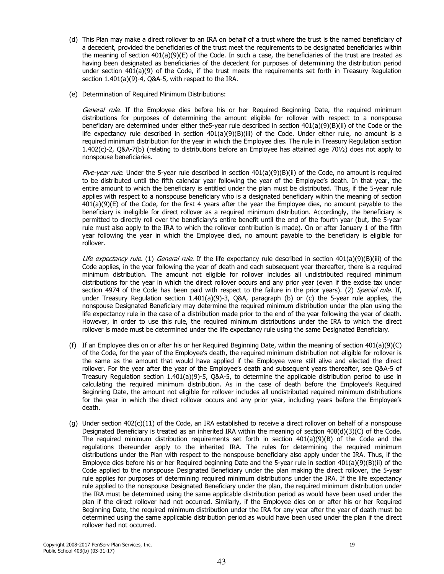- (d) This Plan may make a direct rollover to an IRA on behalf of a trust where the trust is the named beneficiary of a decedent, provided the beneficiaries of the trust meet the requirements to be designated beneficiaries within the meaning of section  $401(a)(9)(E)$  of the Code. In such a case, the beneficiaries of the trust are treated as having been designated as beneficiaries of the decedent for purposes of determining the distribution period under section  $401(a)(9)$  of the Code, if the trust meets the requirements set forth in Treasury Regulation section 1.401(a)(9)-4, Q&A-5, with respect to the IRA.
- (e) Determination of Required Minimum Distributions:

General rule. If the Employee dies before his or her Required Beginning Date, the required minimum distributions for purposes of determining the amount eligible for rollover with respect to a nonspouse beneficiary are determined under either the 5-year rule described in section  $401(a)(9)(B)(ii)$  of the Code or the life expectancy rule described in section  $401(a)(9)(B)(iii)$  of the Code. Under either rule, no amount is a required minimum distribution for the year in which the Employee dies. The rule in Treasury Requlation section 1.402(c)-2, Q&A-7(b) (relating to distributions before an Employee has attained age  $70\frac{1}{2}$ ) does not apply to nonspouse beneficiaries.

Five-year rule. Under the 5-year rule described in section 401(a)(9)(B)(ii) of the Code, no amount is required to be distributed until the fifth calendar year following the year of the Employee's death. In that year, the entire amount to which the beneficiary is entitled under the plan must be distributed. Thus, if the 5-year rule applies with respect to a nonspouse beneficiary who is a designated beneficiary within the meaning of section 401(a)(9)(E) of the Code, for the first 4 years after the year the Employee dies, no amount payable to the beneficiary is ineligible for direct rollover as a required minimum distribution. Accordingly, the beneficiary is permitted to directly roll over the beneficiary's entire benefit until the end of the fourth year (but, the 5-year rule must also apply to the IRA to which the rollover contribution is made). On or after January 1 of the fifth year following the year in which the Employee died, no amount payable to the beneficiary is eligible for rollover.

Life expectancy rule. (1) General rule. If the life expectancy rule described in section 401(a)(9)(B)(iii) of the Code applies, in the year following the year of death and each subsequent year thereafter, there is a required minimum distribution. The amount not eligible for rollover includes all undistributed required minimum distributions for the year in which the direct rollover occurs and any prior year (even if the excise tax under section 4974 of the Code has been paid with respect to the failure in the prior years). (2) Special rule. If, under Treasury Regulation section 1.401(a)(9)-3, Q&A, paragraph (b) or (c) the 5-year rule applies, the nonspouse Designated Beneficiary may determine the required minimum distribution under the plan using the life expectancy rule in the case of a distribution made prior to the end of the year following the year of death. However, in order to use this rule, the required minimum distributions under the IRA to which the direct rollover is made must be determined under the life expectancy rule using the same Designated Beneficiary.

- (f) If an Employee dies on or after his or her Required Beginning Date, within the meaning of section 401(a)(9)(C) of the Code, for the year of the Employee's death, the required minimum distribution not eligible for rollover is the same as the amount that would have applied if the Employee were still alive and elected the direct rollover. For the year after the year of the Employee's death and subsequent years thereafter, see O&A-5 of Treasury Regulation section 1.401(a)(9)-5, Q&A-5, to determine the applicable distribution period to use in calculating the required minimum distribution. As in the case of death before the Employee's Required Beginning Date, the amount not eligible for rollover includes all undistributed required minimum distributions for the vear in which the direct rollover occurs and any prior year, including years before the Employee's death.
- (q) Under section 402(c)(11) of the Code, an IRA established to receive a direct rollover on behalf of a nonspouse Designated Beneficiary is treated as an inherited IRA within the meaning of section 408(d)(3)(C) of the Code. The required minimum distribution requirements set forth in section  $401(a)(9)(B)$  of the Code and the regulations thereunder apply to the inherited IRA. The rules for determining the required minimum distributions under the Plan with respect to the nonspouse beneficiary also apply under the IRA. Thus, if the Employee dies before his or her Required beginning Date and the 5-year rule in section  $401(a)(9)(B)(ii)$  of the Code applied to the nonspouse Designated Beneficiary under the plan making the direct rollover, the 5-year rule applies for purposes of determining required minimum distributions under the IRA. If the life expectancy rule applied to the nonspouse Designated Beneficiary under the plan, the required minimum distribution under the IRA must be determined using the same applicable distribution period as would have been used under the plan if the direct rollover had not occurred. Similarly, if the Employee dies on or after his or her Required Beginning Date, the required minimum distribution under the IRA for any year after the year of death must be determined using the same applicable distribution period as would have been used under the plan if the direct rollover had not occurred.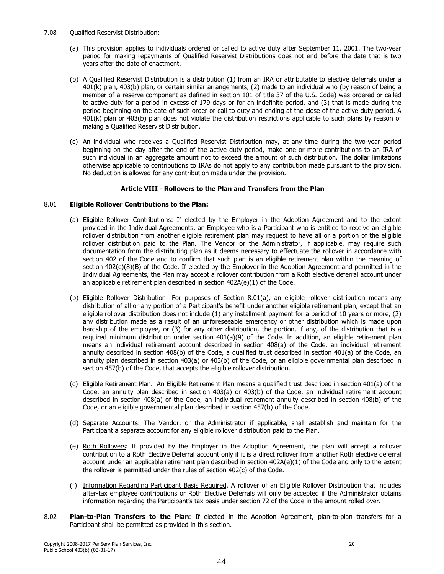- 7.08 **Qualified Reservist Distribution:** 
	- (a) This provision applies to individuals ordered or called to active duty after September 11, 2001. The two-year period for making repayments of Qualified Reservist Distributions does not end before the date that is two years after the date of enactment.
	- (b) A Qualified Reservist Distribution is a distribution (1) from an IRA or attributable to elective deferrals under a 401(k) plan, 403(b) plan, or certain similar arrangements, (2) made to an individual who (by reason of being a member of a reserve component as defined in section 101 of title 37 of the U.S. Code) was ordered or called to active duty for a period in excess of 179 days or for an indefinite period, and (3) that is made during the period beginning on the date of such order or call to duty and ending at the close of the active duty period. A 401(k) plan or 403(b) plan does not violate the distribution restrictions applicable to such plans by reason of making a Qualified Reservist Distribution.
	- (c) An individual who receives a Qualified Reservist Distribution may, at any time during the two-year period beginning on the day after the end of the active duty period, make one or more contributions to an IRA of such individual in an aggregate amount not to exceed the amount of such distribution. The dollar limitations otherwise applicable to contributions to IRAs do not apply to any contribution made pursuant to the provision. No deduction is allowed for any contribution made under the provision.

# Article VIII - Rollovers to the Plan and Transfers from the Plan

#### 8.01 **Eligible Rollover Contributions to the Plan:**

- (a) Eligible Rollover Contributions: If elected by the Employer in the Adoption Agreement and to the extent provided in the Individual Agreements, an Employee who is a Participant who is entitled to receive an eligible rollover distribution from another eligible retirement plan may request to have all or a portion of the eligible rollover distribution paid to the Plan. The Vendor or the Administrator, if applicable, may require such documentation from the distributing plan as it deems necessary to effectuate the rollover in accordance with section 402 of the Code and to confirm that such plan is an eligible retirement plan within the meaning of section 402(c)(8)(B) of the Code. If elected by the Employer in the Adoption Agreement and permitted in the Individual Agreements, the Plan may accept a rollover contribution from a Roth elective deferral account under an applicable retirement plan described in section 402A(e)(1) of the Code.
- (b) Eligible Rollover Distribution: For purposes of Section 8.01(a), an eligible rollover distribution means any distribution of all or any portion of a Participant's benefit under another eligible retirement plan, except that an eligible rollover distribution does not include (1) any installment payment for a period of 10 years or more, (2) any distribution made as a result of an unforeseeable emergency or other distribution which is made upon hardship of the employee, or (3) for any other distribution, the portion, if any, of the distribution that is a required minimum distribution under section  $401(a)(9)$  of the Code. In addition, an eligible retirement plan means an individual retirement account described in section 408(a) of the Code, an individual retirement annuity described in section 408(b) of the Code, a qualified trust described in section 401(a) of the Code, an annuity plan described in section 403(a) or 403(b) of the Code, or an eligible governmental plan described in section 457(b) of the Code, that accepts the eligible rollover distribution.
- (c) Eligible Retirement Plan. An Eligible Retirement Plan means a qualified trust described in section 401(a) of the Code, an annuity plan described in section 403(a) or 403(b) of the Code, an individual retirement account described in section 408(a) of the Code, an individual retirement annuity described in section 408(b) of the Code, or an eligible governmental plan described in section 457(b) of the Code.
- (d) Separate Accounts: The Vendor, or the Administrator if applicable, shall establish and maintain for the Participant a separate account for any eligible rollover distribution paid to the Plan.
- (e) Roth Rollovers: If provided by the Employer in the Adoption Agreement, the plan will accept a rollover contribution to a Roth Elective Deferral account only if it is a direct rollover from another Roth elective deferral account under an applicable retirement plan described in section 402A(e)(1) of the Code and only to the extent the rollover is permitted under the rules of section 402(c) of the Code.
- (f) Information Regarding Participant Basis Reguired. A rollover of an Eligible Rollover Distribution that includes after-tax employee contributions or Roth Elective Deferrals will only be accepted if the Administrator obtains information regarding the Participant's tax basis under section 72 of the Code in the amount rolled over.
- 8.02 Plan-to-Plan Transfers to the Plan: If elected in the Adoption Agreement, plan-to-plan transfers for a Participant shall be permitted as provided in this section.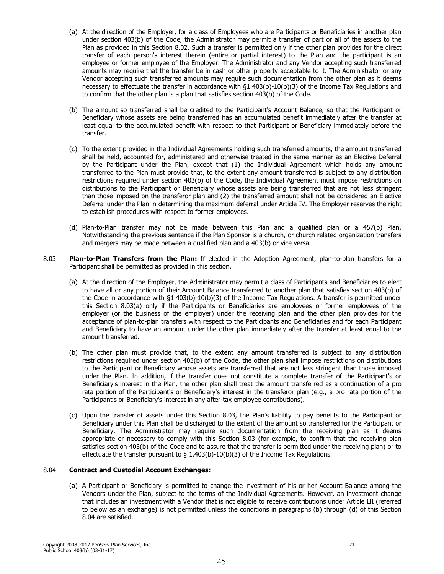- (a) At the direction of the Employer, for a class of Employees who are Participants or Beneficiaries in another plan under section 403(b) of the Code, the Administrator may permit a transfer of part or all of the assets to the Plan as provided in this Section 8.02. Such a transfer is permitted only if the other plan provides for the direct transfer of each person's interest therein (entire or partial interest) to the Plan and the participant is an employee or former employee of the Employer. The Administrator and any Vendor accepting such transferred amounts may require that the transfer be in cash or other property acceptable to it. The Administrator or any Vendor accepting such transferred amounts may require such documentation from the other plan as it deems necessary to effectuate the transfer in accordance with §1.403(b)-10(b)(3) of the Income Tax Regulations and to confirm that the other plan is a plan that satisfies section 403(b) of the Code.
- (b) The amount so transferred shall be credited to the Participant's Account Balance, so that the Participant or Beneficiary whose assets are being transferred has an accumulated benefit immediately after the transfer at least equal to the accumulated benefit with respect to that Participant or Beneficiary immediately before the transfer.
- (c) To the extent provided in the Individual Agreements holding such transferred amounts, the amount transferred shall be held, accounted for, administered and otherwise treated in the same manner as an Elective Deferral by the Participant under the Plan, except that (1) the Individual Agreement which holds any amount transferred to the Plan must provide that, to the extent any amount transferred is subject to any distribution restrictions required under section 403(b) of the Code, the Individual Agreement must impose restrictions on distributions to the Participant or Beneficiary whose assets are being transferred that are not less stringent than those imposed on the transferor plan and (2) the transferred amount shall not be considered an Elective Deferral under the Plan in determining the maximum deferral under Article IV. The Employer reserves the right to establish procedures with respect to former employees.
- (d) Plan-to-Plan transfer may not be made between this Plan and a qualified plan or a 457(b) Plan. Notwithstanding the previous sentence if the Plan Sponsor is a church, or church related organization transfers and mergers may be made between a qualified plan and a 403(b) or vice versa.
- 8.03 Plan-to-Plan Transfers from the Plan: If elected in the Adoption Agreement, plan-to-plan transfers for a Participant shall be permitted as provided in this section.
	- (a) At the direction of the Employer, the Administrator may permit a class of Participants and Beneficiaries to elect to have all or any portion of their Account Balance transferred to another plan that satisfies section 403(b) of the Code in accordance with  $\S1.403(b)-10(b)(3)$  of the Income Tax Regulations. A transfer is permitted under this Section 8.03(a) only if the Participants or Beneficiaries are employees or former employees of the employer (or the business of the employer) under the receiving plan and the other plan provides for the acceptance of plan-to-plan transfers with respect to the Participants and Beneficiaries and for each Participant and Beneficiary to have an amount under the other plan immediately after the transfer at least equal to the amount transferred.
	- (b) The other plan must provide that, to the extent any amount transferred is subject to any distribution restrictions required under section 403(b) of the Code, the other plan shall impose restrictions on distributions to the Participant or Beneficiary whose assets are transferred that are not less stringent than those imposed under the Plan. In addition, if the transfer does not constitute a complete transfer of the Participant's or Beneficiary's interest in the Plan, the other plan shall treat the amount transferred as a continuation of a pro rata portion of the Participant's or Beneficiary's interest in the transferor plan (e.g., a pro rata portion of the Participant's or Beneficiary's interest in any after-tax employee contributions).
	- (c) Upon the transfer of assets under this Section 8.03, the Plan's liability to pay benefits to the Participant or Beneficiary under this Plan shall be discharged to the extent of the amount so transferred for the Participant or Beneficiary. The Administrator may require such documentation from the receiving plan as it deems appropriate or necessary to comply with this Section 8.03 (for example, to confirm that the receiving plan satisfies section 403(b) of the Code and to assure that the transfer is permitted under the receiving plan) or to effectuate the transfer pursuant to  $\S$  1.403(b)-10(b)(3) of the Income Tax Regulations.

#### 8.04 **Contract and Custodial Account Exchanges:**

(a) A Participant or Beneficiary is permitted to change the investment of his or her Account Balance among the Vendors under the Plan, subject to the terms of the Individual Agreements. However, an investment change that includes an investment with a Vendor that is not eligible to receive contributions under Article III (referred to below as an exchange) is not permitted unless the conditions in paragraphs (b) through (d) of this Section 8.04 are satisfied.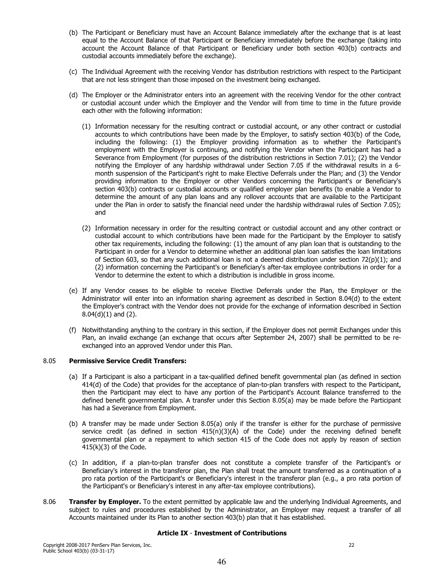- (b) The Participant or Beneficiary must have an Account Balance immediately after the exchange that is at least equal to the Account Balance of that Participant or Beneficiary immediately before the exchange (taking into account the Account Balance of that Participant or Beneficiary under both section 403(b) contracts and custodial accounts immediately before the exchange).
- (c) The Individual Agreement with the receiving Vendor has distribution restrictions with respect to the Participant that are not less stringent than those imposed on the investment being exchanged.
- (d) The Employer or the Administrator enters into an agreement with the receiving Vendor for the other contract or custodial account under which the Employer and the Vendor will from time to time in the future provide each other with the following information:
	- (1) Information necessary for the resulting contract or custodial account, or any other contract or custodial accounts to which contributions have been made by the Employer, to satisfy section 403(b) of the Code, including the following: (1) the Employer providing information as to whether the Participant's employment with the Employer is continuing, and notifying the Vendor when the Participant has had a Severance from Employment (for purposes of the distribution restrictions in Section 7.01); (2) the Vendor notifying the Employer of any hardship withdrawal under Section 7.05 if the withdrawal results in a 6month suspension of the Participant's right to make Elective Deferrals under the Plan; and (3) the Vendor providing information to the Employer or other Vendors concerning the Participant's or Beneficiary's section 403(b) contracts or custodial accounts or qualified employer plan benefits (to enable a Vendor to determine the amount of any plan loans and any rollover accounts that are available to the Participant under the Plan in order to satisfy the financial need under the hardship withdrawal rules of Section 7.05); and
	- (2) Information necessary in order for the resulting contract or custodial account and any other contract or custodial account to which contributions have been made for the Participant by the Employer to satisfy other tax requirements, including the following: (1) the amount of any plan loan that is outstanding to the Participant in order for a Vendor to determine whether an additional plan loan satisfies the loan limitations of Section 603, so that any such additional loan is not a deemed distribution under section  $72(p)(1)$ ; and (2) information concerning the Participant's or Beneficiary's after-tax employee contributions in order for a Vendor to determine the extent to which a distribution is includible in gross income.
- (e) If any Vendor ceases to be eligible to receive Elective Deferrals under the Plan, the Employer or the Administrator will enter into an information sharing agreement as described in Section 8.04(d) to the extent the Employer's contract with the Vendor does not provide for the exchange of information described in Section  $8.04(d)(1)$  and  $(2)$ .
- (f) Notwithstanding anything to the contrary in this section, if the Employer does not permit Exchanges under this Plan, an invalid exchange (an exchange that occurs after September 24, 2007) shall be permitted to be reexchanged into an approved Vendor under this Plan.

#### 8.05 **Permissive Service Credit Transfers:**

- (a) If a Participant is also a participant in a tax-qualified defined benefit governmental plan (as defined in section 414(d) of the Code) that provides for the acceptance of plan-to-plan transfers with respect to the Participant, then the Participant may elect to have any portion of the Participant's Account Balance transferred to the defined benefit governmental plan. A transfer under this Section 8.05(a) may be made before the Participant has had a Severance from Employment.
- (b) A transfer may be made under Section 8.05(a) only if the transfer is either for the purchase of permissive service credit (as defined in section  $415(n)(3)(A)$  of the Code) under the receiving defined benefit governmental plan or a repayment to which section 415 of the Code does not apply by reason of section 415(k)(3) of the Code.
- (c) In addition, if a plan-to-plan transfer does not constitute a complete transfer of the Participant's or Beneficiary's interest in the transferor plan, the Plan shall treat the amount transferred as a continuation of a pro rata portion of the Participant's or Beneficiary's interest in the transferor plan (e.g., a pro rata portion of the Participant's or Beneficiary's interest in any after-tax employee contributions).
- 8.06 Transfer by Employer. To the extent permitted by applicable law and the underlying Individual Agreements, and subject to rules and procedures established by the Administrator, an Employer may request a transfer of all Accounts maintained under its Plan to another section 403(b) plan that it has established.

## **Article IX - Investment of Contributions**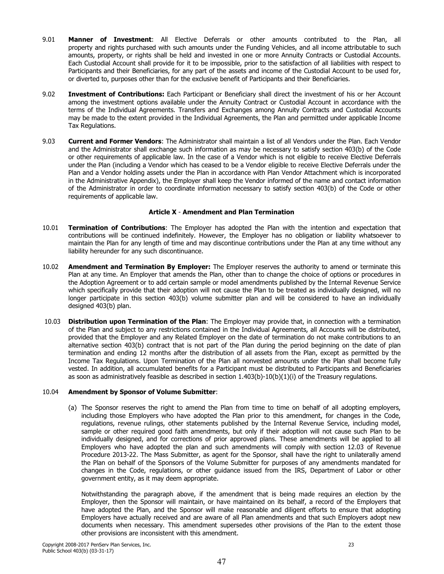- $9.01$ Manner of Investment: All Elective Deferrals or other amounts contributed to the Plan, all property and rights purchased with such amounts under the Funding Vehicles, and all income attributable to such amounts, property, or rights shall be held and invested in one or more Annuity Contracts or Custodial Accounts. Each Custodial Account shall provide for it to be impossible, prior to the satisfaction of all liabilities with respect to Participants and their Beneficiaries, for any part of the assets and income of the Custodial Account to be used for, or diverted to, purposes other than for the exclusive benefit of Participants and their Beneficiaries.
- $9.02$ Investment of Contributions: Each Participant or Beneficiary shall direct the investment of his or her Account among the investment options available under the Annuity Contract or Custodial Account in accordance with the terms of the Individual Agreements. Transfers and Exchanges among Annuity Contracts and Custodial Accounts may be made to the extent provided in the Individual Agreements, the Plan and permitted under applicable Income Tax Regulations.
- $9.03$ **Current and Former Vendors:** The Administrator shall maintain a list of all Vendors under the Plan. Each Vendor and the Administrator shall exchange such information as may be necessary to satisfy section 403(b) of the Code or other requirements of applicable law. In the case of a Vendor which is not eligible to receive Elective Deferrals under the Plan (including a Vendor which has ceased to be a Vendor eligible to receive Elective Deferrals under the Plan and a Vendor holding assets under the Plan in accordance with Plan Vendor Attachment which is incorporated in the Administrative Appendix), the Employer shall keep the Vendor informed of the name and contact information of the Administrator in order to coordinate information necessary to satisfy section 403(b) of the Code or other requirements of applicable law.

# **Article X - Amendment and Plan Termination**

- Termination of Contributions: The Employer has adopted the Plan with the intention and expectation that 10.01 contributions will be continued indefinitely. However, the Employer has no obligation or liability whatsoever to maintain the Plan for any length of time and may discontinue contributions under the Plan at any time without any liability hereunder for any such discontinuance.
- 10.02 Amendment and Termination By Employer: The Employer reserves the authority to amend or terminate this Plan at any time. An Employer that amends the Plan, other than to change the choice of options or procedures in the Adoption Agreement or to add certain sample or model amendments published by the Internal Revenue Service which specifically provide that their adoption will not cause the Plan to be treated as individually designed, will no longer participate in this section 403(b) volume submitter plan and will be considered to have an individually designed 403(b) plan.
- 10.03 Distribution upon Termination of the Plan: The Employer may provide that, in connection with a termination of the Plan and subject to any restrictions contained in the Individual Agreements, all Accounts will be distributed, provided that the Employer and any Related Employer on the date of termination do not make contributions to an alternative section 403(b) contract that is not part of the Plan during the period beginning on the date of plan termination and ending 12 months after the distribution of all assets from the Plan, except as permitted by the Income Tax Regulations. Upon Termination of the Plan all nonvested amounts under the Plan shall become fully vested. In addition, all accumulated benefits for a Participant must be distributed to Participants and Beneficiaries as soon as administratively feasible as described in section  $1.403(b)-10(b)(1)(i)$  of the Treasury regulations.

#### 10.04 **Amendment by Sponsor of Volume Submitter:**

(a) The Sponsor reserves the right to amend the Plan from time to time on behalf of all adopting employers, including those Employers who have adopted the Plan prior to this amendment, for changes in the Code, regulations, revenue rulings, other statements published by the Internal Revenue Service, including model, sample or other required good faith amendments, but only if their adoption will not cause such Plan to be individually designed, and for corrections of prior approved plans. These amendments will be applied to all Employers who have adopted the plan and such amendments will comply with section 12.03 of Revenue Procedure 2013-22. The Mass Submitter, as agent for the Sponsor, shall have the right to unilaterally amend the Plan on behalf of the Sponsors of the Volume Submitter for purposes of any amendments mandated for changes in the Code, regulations, or other guidance issued from the IRS, Department of Labor or other government entity, as it may deem appropriate.

Notwithstanding the paragraph above, if the amendment that is being made requires an election by the Employer, then the Sponsor will maintain, or have maintained on its behalf, a record of the Employers that have adopted the Plan, and the Sponsor will make reasonable and diligent efforts to ensure that adopting Employers have actually received and are aware of all Plan amendments and that such Employers adopt new documents when necessary. This amendment supersedes other provisions of the Plan to the extent those other provisions are inconsistent with this amendment.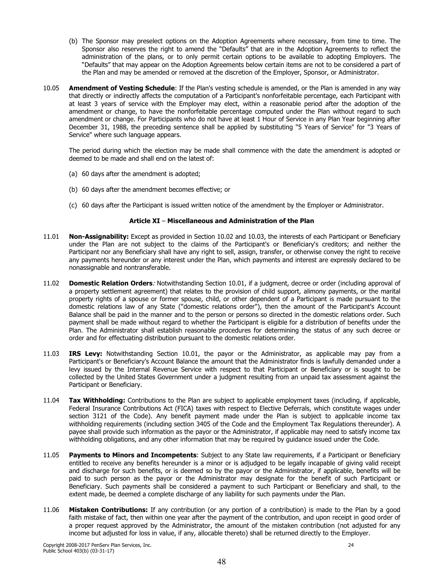- (b) The Sponsor may preselect options on the Adoption Agreements where necessary, from time to time. The Sponsor also reserves the right to amend the "Defaults" that are in the Adoption Agreements to reflect the administration of the plans, or to only permit certain options to be available to adopting Employers. The "Defaults" that may appear on the Adoption Agreements below certain items are not to be considered a part of the Plan and may be amended or removed at the discretion of the Employer, Sponsor, or Administrator.
- 10.05 Amendment of Vesting Schedule: If the Plan's vesting schedule is amended, or the Plan is amended in any way that directly or indirectly affects the computation of a Participant's nonforfeitable percentage, each Participant with at least 3 years of service with the Employer may elect, within a reasonable period after the adoption of the amendment or change, to have the nonforfeitable percentage computed under the Plan without regard to such amendment or change. For Participants who do not have at least 1 Hour of Service in any Plan Year beginning after December 31, 1988, the preceding sentence shall be applied by substituting "5 Years of Service" for "3 Years of Service" where such language appears.

The period during which the election may be made shall commence with the date the amendment is adopted or deemed to be made and shall end on the latest of:

- (a) 60 days after the amendment is adopted;
- (b) 60 days after the amendment becomes effective; or
- (c) 60 days after the Participant is issued written notice of the amendment by the Employer or Administrator.

# Article XI - Miscellaneous and Administration of the Plan

- 11.01 Non-Assignability: Except as provided in Section 10.02 and 10.03, the interests of each Participant or Beneficiary under the Plan are not subject to the claims of the Participant's or Beneficiary's creditors; and neither the Participant nor any Beneficiary shall have any right to sell, assign, transfer, or otherwise convey the right to receive any payments hereunder or any interest under the Plan, which payments and interest are expressly declared to be nonassignable and nontransferable.
- Domestic Relation Orders: Notwithstanding Section 10.01, if a judgment, decree or order (including approval of 11.02 a property settlement agreement) that relates to the provision of child support, alimony payments, or the marital property rights of a spouse or former spouse, child, or other dependent of a Participant is made pursuant to the domestic relations law of any State ("domestic relations order"), then the amount of the Participant's Account Balance shall be paid in the manner and to the person or persons so directed in the domestic relations order. Such payment shall be made without regard to whether the Participant is eligible for a distribution of benefits under the Plan. The Administrator shall establish reasonable procedures for determining the status of any such decree or order and for effectuating distribution pursuant to the domestic relations order.
- 11.03 IRS Levy: Notwithstanding Section 10.01, the payor or the Administrator, as applicable may pay from a Participant's or Beneficiary's Account Balance the amount that the Administrator finds is lawfully demanded under a levy issued by the Internal Revenue Service with respect to that Participant or Beneficiary or is sought to be collected by the United States Government under a judgment resulting from an unpaid tax assessment against the Participant or Beneficiary.
- 11.04 Tax Withholding: Contributions to the Plan are subject to applicable employment taxes (including, if applicable, Federal Insurance Contributions Act (FICA) taxes with respect to Elective Deferrals, which constitute wages under section 3121 of the Code). Any benefit payment made under the Plan is subject to applicable income tax withholding requirements (including section 3405 of the Code and the Employment Tax Requlations thereunder). A payee shall provide such information as the payor or the Administrator, if applicable may need to satisfy income tax withholding obligations, and any other information that may be required by quidance issued under the Code.
- 11.05 Payments to Minors and Incompetents: Subject to any State law requirements, if a Participant or Beneficiary entitled to receive any benefits hereunder is a minor or is adjudged to be legally incapable of giving valid receipt and discharge for such benefits, or is deemed so by the payor or the Administrator, if applicable, benefits will be paid to such person as the payor or the Administrator may designate for the benefit of such Participant or Beneficiary. Such payments shall be considered a payment to such Participant or Beneficiary and shall, to the extent made, be deemed a complete discharge of any liability for such payments under the Plan.
- 11.06 Mistaken Contributions: If any contribution (or any portion of a contribution) is made to the Plan by a good faith mistake of fact, then within one year after the payment of the contribution, and upon receipt in good order of a proper request approved by the Administrator, the amount of the mistaken contribution (not adjusted for any income but adjusted for loss in value, if any, allocable thereto) shall be returned directly to the Employer.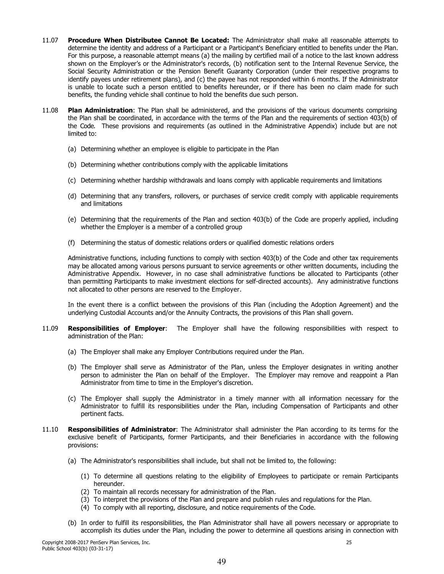- 11.07 Procedure When Distributee Cannot Be Located: The Administrator shall make all reasonable attempts to determine the identity and address of a Participant or a Participant's Beneficiary entitled to benefits under the Plan. For this purpose, a reasonable attempt means (a) the mailing by certified mail of a notice to the last known address shown on the Employer's or the Administrator's records, (b) notification sent to the Internal Revenue Service, the Social Security Administration or the Pension Benefit Guaranty Corporation (under their respective programs to identify payees under retirement plans), and (c) the payee has not responded within 6 months. If the Administrator is unable to locate such a person entitled to benefits hereunder, or if there has been no claim made for such benefits, the funding vehicle shall continue to hold the benefits due such person.
- 11.08 **Plan Administration:** The Plan shall be administered, and the provisions of the various documents comprising the Plan shall be coordinated, in accordance with the terms of the Plan and the requirements of section 403(b) of the Code. These provisions and requirements (as outlined in the Administrative Appendix) include but are not limited to:
	- (a) Determining whether an employee is eligible to participate in the Plan
	- (b) Determining whether contributions comply with the applicable limitations
	- (c) Determining whether hardship withdrawals and loans comply with applicable requirements and limitations
	- (d) Determining that any transfers, rollovers, or purchases of service credit comply with applicable requirements and limitations
	- (e) Determining that the requirements of the Plan and section 403(b) of the Code are properly applied, including whether the Employer is a member of a controlled group
	- (f) Determining the status of domestic relations orders or qualified domestic relations orders

Administrative functions, including functions to comply with section 403(b) of the Code and other tax requirements may be allocated among various persons pursuant to service agreements or other written documents, including the Administrative Appendix. However, in no case shall administrative functions be allocated to Participants (other than permitting Participants to make investment elections for self-directed accounts). Any administrative functions not allocated to other persons are reserved to the Employer.

In the event there is a conflict between the provisions of this Plan (including the Adoption Agreement) and the underlying Custodial Accounts and/or the Annuity Contracts, the provisions of this Plan shall govern.

- 11.09 Responsibilities of Employer: The Employer shall have the following responsibilities with respect to administration of the Plan:
	- (a) The Employer shall make any Employer Contributions required under the Plan.
	- (b) The Employer shall serve as Administrator of the Plan, unless the Employer designates in writing another person to administer the Plan on behalf of the Employer. The Employer may remove and reappoint a Plan Administrator from time to time in the Employer's discretion.
	- (c) The Employer shall supply the Administrator in a timely manner with all information necessary for the Administrator to fulfill its responsibilities under the Plan, including Compensation of Participants and other pertinent facts.
- $11.10$ Responsibilities of Administrator: The Administrator shall administer the Plan according to its terms for the exclusive benefit of Participants, former Participants, and their Beneficiaries in accordance with the following provisions:
	- (a) The Administrator's responsibilities shall include, but shall not be limited to, the following:
		- (1) To determine all questions relating to the eligibility of Employees to participate or remain Participants hereunder.
		- (2) To maintain all records necessary for administration of the Plan.
		- (3) To interpret the provisions of the Plan and prepare and publish rules and regulations for the Plan.
		- (4) To comply with all reporting, disclosure, and notice requirements of the Code.
	- (b) In order to fulfill its responsibilities, the Plan Administrator shall have all powers necessary or appropriate to accomplish its duties under the Plan, including the power to determine all questions arising in connection with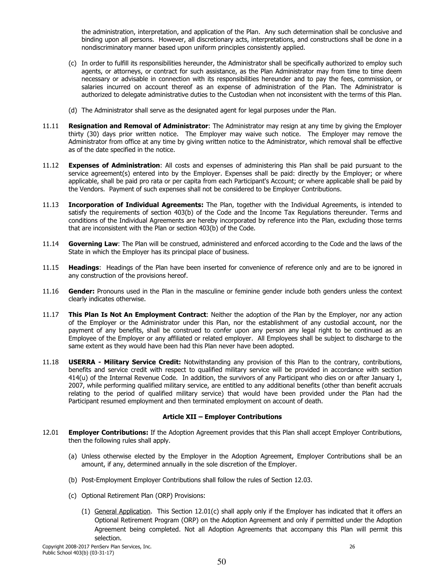the administration, interpretation, and application of the Plan. Any such determination shall be conclusive and binding upon all persons. However, all discretionary acts, interpretations, and constructions shall be done in a nondiscriminatory manner based upon uniform principles consistently applied.

- (c) In order to fulfill its responsibilities hereunder, the Administrator shall be specifically authorized to employ such agents, or attorneys, or contract for such assistance, as the Plan Administrator may from time to time deem necessary or advisable in connection with its responsibilities hereunder and to pay the fees, commission, or salaries incurred on account thereof as an expense of administration of the Plan. The Administrator is authorized to delegate administrative duties to the Custodian when not inconsistent with the terms of this Plan.
- (d) The Administrator shall serve as the designated agent for legal purposes under the Plan.
- Resignation and Removal of Administrator: The Administrator may resign at any time by giving the Employer 11.11 thirty (30) days prior written notice. The Employer may waive such notice. The Employer may remove the Administrator from office at any time by giving written notice to the Administrator, which removal shall be effective as of the date specified in the notice.
- 11.12 **Expenses of Administration:** All costs and expenses of administering this Plan shall be paid pursuant to the service agreement(s) entered into by the Employer. Expenses shall be paid: directly by the Employer; or where applicable, shall be paid pro rata or per capita from each Participant's Account; or where applicable shall be paid by the Vendors. Payment of such expenses shall not be considered to be Employer Contributions.
- 11.13 Incorporation of Individual Agreements: The Plan, together with the Individual Agreements, is intended to satisfy the requirements of section 403(b) of the Code and the Income Tax Requlations thereunder. Terms and conditions of the Individual Agreements are hereby incorporated by reference into the Plan, excluding those terms that are inconsistent with the Plan or section 403(b) of the Code.
- 11.14 Governing Law: The Plan will be construed, administered and enforced according to the Code and the laws of the State in which the Employer has its principal place of business.
- 11.15 Headings: Headings of the Plan have been inserted for convenience of reference only and are to be ignored in any construction of the provisions hereof.
- 11.16 Gender: Pronouns used in the Plan in the masculine or feminine gender include both genders unless the context clearly indicates otherwise.
- 11.17 This Plan Is Not An Employment Contract: Neither the adoption of the Plan by the Employer, nor any action of the Employer or the Administrator under this Plan, nor the establishment of any custodial account, nor the payment of any benefits, shall be construed to confer upon any person any legal right to be continued as an Employee of the Employer or any affiliated or related employer. All Employees shall be subject to discharge to the same extent as they would have been had this Plan never have been adopted.
- 11.18 **USERRA - Military Service Credit:** Notwithstanding any provision of this Plan to the contrary, contributions, benefits and service credit with respect to qualified military service will be provided in accordance with section 414(u) of the Internal Revenue Code. In addition, the survivors of any Participant who dies on or after January 1, 2007, while performing qualified military service, are entitled to any additional benefits (other than benefit accruals relating to the period of qualified military service) that would have been provided under the Plan had the Participant resumed employment and then terminated employment on account of death.

## **Article XII - Employer Contributions**

- 12.01 **Employer Contributions:** If the Adoption Agreement provides that this Plan shall accept Employer Contributions, then the following rules shall apply.
	- (a) Unless otherwise elected by the Employer in the Adoption Agreement, Employer Contributions shall be an amount, if any, determined annually in the sole discretion of the Employer.
	- (b) Post-Employment Employer Contributions shall follow the rules of Section 12.03.
	- (c) Optional Retirement Plan (ORP) Provisions:
		- (1) General Application. This Section 12.01(c) shall apply only if the Employer has indicated that it offers an Optional Retirement Program (ORP) on the Adoption Agreement and only if permitted under the Adoption Agreement being completed. Not all Adoption Agreements that accompany this Plan will permit this selection.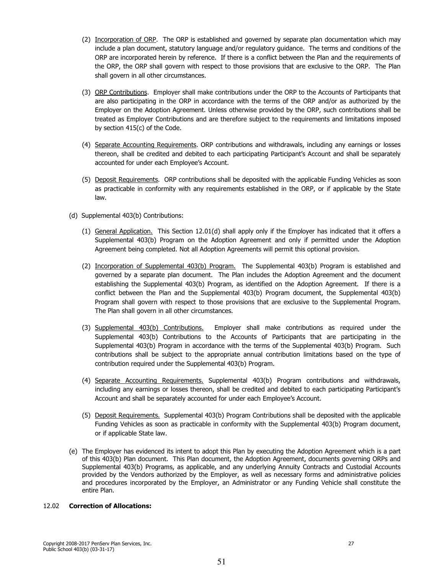- (2) Incorporation of ORP. The ORP is established and governed by separate plan documentation which may include a plan document, statutory language and/or regulatory guidance. The terms and conditions of the ORP are incorporated herein by reference. If there is a conflict between the Plan and the requirements of the ORP, the ORP shall govern with respect to those provisions that are exclusive to the ORP. The Plan shall govern in all other circumstances.
- (3) ORP Contributions. Employer shall make contributions under the ORP to the Accounts of Participants that are also participating in the ORP in accordance with the terms of the ORP and/or as authorized by the Employer on the Adoption Agreement. Unless otherwise provided by the ORP, such contributions shall be treated as Employer Contributions and are therefore subject to the requirements and limitations imposed by section 415(c) of the Code.
- (4) Separate Accounting Requirements. ORP contributions and withdrawals, including any earnings or losses thereon, shall be credited and debited to each participating Participant's Account and shall be separately accounted for under each Employee's Account.
- (5) Deposit Requirements. ORP contributions shall be deposited with the applicable Funding Vehicles as soon as practicable in conformity with any requirements established in the ORP, or if applicable by the State law.
- (d) Supplemental 403(b) Contributions:
	- (1) General Application. This Section 12.01(d) shall apply only if the Employer has indicated that it offers a Supplemental 403(b) Program on the Adoption Agreement and only if permitted under the Adoption Agreement being completed. Not all Adoption Agreements will permit this optional provision.
	- (2) Incorporation of Supplemental 403(b) Program. The Supplemental 403(b) Program is established and governed by a separate plan document. The Plan includes the Adoption Agreement and the document establishing the Supplemental 403(b) Program, as identified on the Adoption Agreement. If there is a conflict between the Plan and the Supplemental 403(b) Program document, the Supplemental 403(b) Program shall govern with respect to those provisions that are exclusive to the Supplemental Program. The Plan shall govern in all other circumstances.
	- (3) Supplemental 403(b) Contributions. Employer shall make contributions as required under the Supplemental 403(b) Contributions to the Accounts of Participants that are participating in the Supplemental 403(b) Program in accordance with the terms of the Supplemental 403(b) Program. Such contributions shall be subject to the appropriate annual contribution limitations based on the type of contribution required under the Supplemental 403(b) Program.
	- (4) Separate Accounting Requirements. Supplemental 403(b) Program contributions and withdrawals, including any earnings or losses thereon, shall be credited and debited to each participating Participant's Account and shall be separately accounted for under each Employee's Account.
	- (5) Deposit Requirements. Supplemental 403(b) Program Contributions shall be deposited with the applicable Funding Vehicles as soon as practicable in conformity with the Supplemental 403(b) Program document, or if applicable State law.
- (e) The Employer has evidenced its intent to adopt this Plan by executing the Adoption Agreement which is a part of this 403(b) Plan document. This Plan document, the Adoption Agreement, documents governing ORPs and Supplemental 403(b) Programs, as applicable, and any underlying Annuity Contracts and Custodial Accounts provided by the Vendors authorized by the Employer, as well as necessary forms and administrative policies and procedures incorporated by the Employer, an Administrator or any Funding Vehicle shall constitute the entire Plan.

#### $12.02$ **Correction of Allocations:**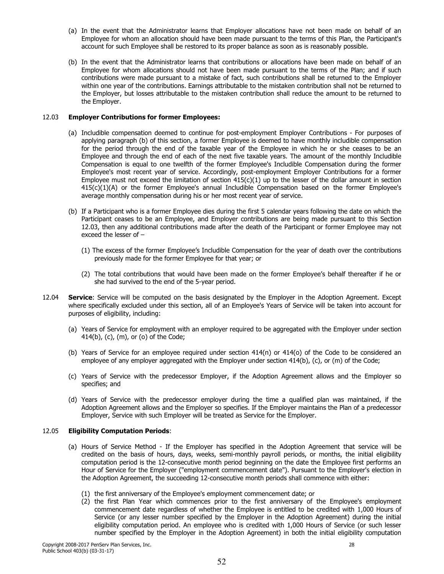- (a) In the event that the Administrator learns that Employer allocations have not been made on behalf of an Employee for whom an allocation should have been made pursuant to the terms of this Plan, the Participant's account for such Employee shall be restored to its proper balance as soon as is reasonably possible.
- (b) In the event that the Administrator learns that contributions or allocations have been made on behalf of an Employee for whom allocations should not have been made pursuant to the terms of the Plan; and if such contributions were made pursuant to a mistake of fact, such contributions shall be returned to the Employer within one year of the contributions. Earnings attributable to the mistaken contribution shall not be returned to the Employer, but losses attributable to the mistaken contribution shall reduce the amount to be returned to the Emplover.

# 12.03 Employer Contributions for former Employees:

- (a) Includible compensation deemed to continue for post-employment Employer Contributions For purposes of applying paragraph (b) of this section, a former Employee is deemed to have monthly includible compensation for the period through the end of the taxable year of the Employee in which he or she ceases to be an Employee and through the end of each of the next five taxable years. The amount of the monthly Includible Compensation is equal to one twelfth of the former Employee's Includible Compensation during the former Employee's most recent year of service. Accordingly, post-employment Employer Contributions for a former Employee must not exceed the limitation of section  $415(c)(1)$  up to the lesser of the dollar amount in section 415(c)(1)(A) or the former Employee's annual Includible Compensation based on the former Employee's average monthly compensation during his or her most recent year of service.
- (b) If a Participant who is a former Employee dies during the first 5 calendar years following the date on which the Participant ceases to be an Employee, and Employer contributions are being made pursuant to this Section 12.03, then any additional contributions made after the death of the Participant or former Employee may not exceed the lesser of  $-$ 
	- (1) The excess of the former Employee's Includible Compensation for the year of death over the contributions previously made for the former Employee for that year; or
	- (2) The total contributions that would have been made on the former Employee's behalf thereafter if he or she had survived to the end of the 5-year period.
- 12.04 Service: Service will be computed on the basis designated by the Employer in the Adoption Agreement. Except where specifically excluded under this section, all of an Employee's Years of Service will be taken into account for purposes of eligibility, including:
	- (a) Years of Service for employment with an employer required to be aggregated with the Employer under section 414(b), (c), (m), or (o) of the Code;
	- (b) Years of Service for an employee required under section  $414(n)$  or  $414(o)$  of the Code to be considered an employee of any employer aggregated with the Employer under section 414(b), (c), or (m) of the Code;
	- (c) Years of Service with the predecessor Employer, if the Adoption Agreement allows and the Employer so specifies; and
	- (d) Years of Service with the predecessor employer during the time a qualified plan was maintained, if the Adoption Agreement allows and the Employer so specifies. If the Employer maintains the Plan of a predecessor Employer, Service with such Employer will be treated as Service for the Employer.

#### **Eligibility Computation Periods:** 12.05

- (a) Hours of Service Method If the Employer has specified in the Adoption Agreement that service will be credited on the basis of hours, days, weeks, semi-monthly payroll periods, or months, the initial eligibility computation period is the 12-consecutive month period beginning on the date the Employee first performs an Hour of Service for the Employer ("employment commencement date"). Pursuant to the Employer's election in the Adoption Agreement, the succeeding 12-consecutive month periods shall commence with either:
	- (1) the first anniversary of the Employee's employment commencement date; or
	- (2) the first Plan Year which commences prior to the first anniversary of the Employee's employment commencement date regardless of whether the Employee is entitled to be credited with 1,000 Hours of Service (or any lesser number specified by the Employer in the Adoption Agreement) during the initial eligibility computation period. An employee who is credited with 1,000 Hours of Service (or such lesser number specified by the Employer in the Adoption Agreement) in both the initial eligibility computation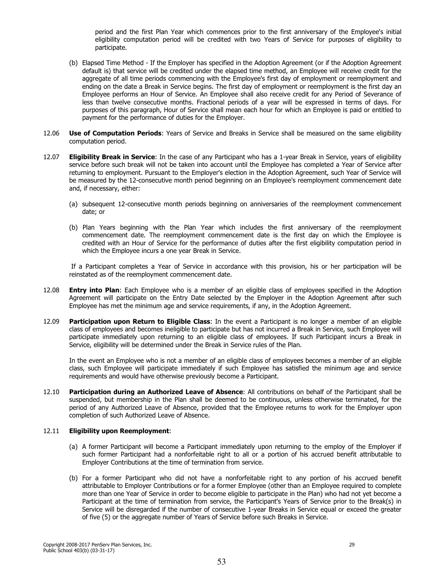period and the first Plan Year which commences prior to the first anniversary of the Employee's initial eligibility computation period will be credited with two Years of Service for purposes of eligibility to participate.

- (b) Elapsed Time Method If the Employer has specified in the Adoption Agreement (or if the Adoption Agreement default is) that service will be credited under the elapsed time method, an Employee will receive credit for the aggregate of all time periods commencing with the Employee's first day of employment or reemployment and ending on the date a Break in Service begins. The first day of employment or reemployment is the first day an Employee performs an Hour of Service. An Employee shall also receive credit for any Period of Severance of less than twelve consecutive months. Fractional periods of a year will be expressed in terms of days. For purposes of this paragraph, Hour of Service shall mean each hour for which an Employee is paid or entitled to payment for the performance of duties for the Employer.
- 12.06 Use of Computation Periods: Years of Service and Breaks in Service shall be measured on the same eligibility computation period.
- 12.07 **Eligibility Break in Service:** In the case of any Participant who has a 1-year Break in Service, years of eligibility service before such break will not be taken into account until the Employee has completed a Year of Service after returning to employment. Pursuant to the Employer's election in the Adoption Agreement, such Year of Service will be measured by the 12-consecutive month period beginning on an Employee's reemployment commencement date and, if necessary, either:
	- (a) subsequent 12-consecutive month periods beginning on anniversaries of the reemployment commencement date; or
	- (b) Plan Years beginning with the Plan Year which includes the first anniversary of the reemployment commencement date. The reemployment commencement date is the first day on which the Employee is credited with an Hour of Service for the performance of duties after the first eligibility computation period in which the Employee incurs a one year Break in Service.

If a Participant completes a Year of Service in accordance with this provision, his or her participation will be reinstated as of the reemployment commencement date.

- 12.08 **Entry into Plan:** Each Employee who is a member of an eligible class of employees specified in the Adoption Agreement will participate on the Entry Date selected by the Employer in the Adoption Agreement after such Employee has met the minimum age and service requirements, if any, in the Adoption Agreement.
- 12.09 Participation upon Return to Eligible Class: In the event a Participant is no longer a member of an eligible class of employees and becomes ineligible to participate but has not incurred a Break in Service, such Employee will participate immediately upon returning to an eligible class of employees. If such Participant incurs a Break in Service, eligibility will be determined under the Break in Service rules of the Plan.

In the event an Employee who is not a member of an eligible class of employees becomes a member of an eligible class, such Employee will participate immediately if such Employee has satisfied the minimum age and service requirements and would have otherwise previously become a Participant.

12.10 Participation during an Authorized Leave of Absence: All contributions on behalf of the Participant shall be suspended, but membership in the Plan shall be deemed to be continuous, unless otherwise terminated, for the period of any Authorized Leave of Absence, provided that the Employee returns to work for the Employer upon completion of such Authorized Leave of Absence.

#### **Eligibility upon Reemployment:** 12.11

- (a) A former Participant will become a Participant immediately upon returning to the employ of the Employer if such former Participant had a nonforfeitable right to all or a portion of his accrued benefit attributable to Employer Contributions at the time of termination from service.
- (b) For a former Participant who did not have a nonforfeitable right to any portion of his accrued benefit attributable to Employer Contributions or for a former Employee (other than an Employee required to complete more than one Year of Service in order to become eligible to participate in the Plan) who had not yet become a Participant at the time of termination from service, the Participant's Years of Service prior to the Break(s) in Service will be disregarded if the number of consecutive 1-year Breaks in Service equal or exceed the greater of five (5) or the aggregate number of Years of Service before such Breaks in Service.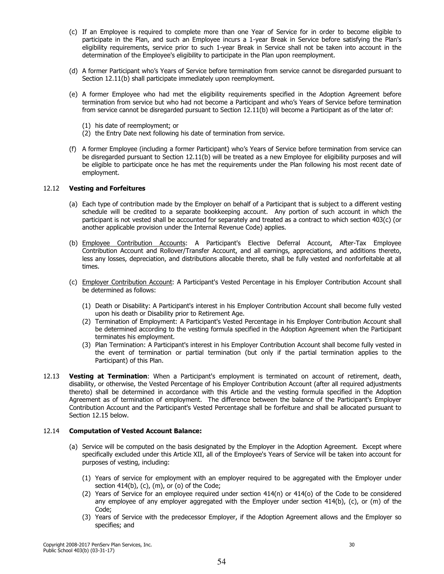- (c) If an Employee is required to complete more than one Year of Service for in order to become eligible to participate in the Plan, and such an Employee incurs a 1-year Break in Service before satisfying the Plan's eligibility requirements, service prior to such 1-year Break in Service shall not be taken into account in the determination of the Employee's eligibility to participate in the Plan upon reemployment.
- (d) A former Participant who's Years of Service before termination from service cannot be disregarded pursuant to Section 12.11(b) shall participate immediately upon reemployment.
- (e) A former Employee who had met the eligibility requirements specified in the Adoption Agreement before termination from service but who had not become a Participant and who's Years of Service before termination from service cannot be disregarded pursuant to Section 12.11(b) will become a Participant as of the later of:
	- (1) his date of reemployment; or
	- (2) the Entry Date next following his date of termination from service.
- (f) A former Employee (including a former Participant) who's Years of Service before termination from service can be disregarded pursuant to Section 12.11(b) will be treated as a new Employee for eligibility purposes and will be eligible to participate once he has met the requirements under the Plan following his most recent date of employment.

## 12.12 Vesting and Forfeitures

- (a) Each type of contribution made by the Employer on behalf of a Participant that is subject to a different vesting schedule will be credited to a separate bookkeeping account. Any portion of such account in which the participant is not vested shall be accounted for separately and treated as a contract to which section 403(c) (or another applicable provision under the Internal Revenue Code) applies.
- (b) Employee Contribution Accounts: A Participant's Elective Deferral Account, After-Tax Employee Contribution Account and Rollover/Transfer Account, and all earnings, appreciations, and additions thereto, less any losses, depreciation, and distributions allocable thereto, shall be fully vested and nonforfeitable at all times.
- (c) Employer Contribution Account: A Participant's Vested Percentage in his Employer Contribution Account shall be determined as follows:
	- (1) Death or Disability: A Participant's interest in his Employer Contribution Account shall become fully vested upon his death or Disability prior to Retirement Age.
	- (2) Termination of Employment: A Participant's Vested Percentage in his Employer Contribution Account shall be determined according to the vesting formula specified in the Adoption Agreement when the Participant terminates his employment.
	- (3) Plan Termination: A Participant's interest in his Employer Contribution Account shall become fully vested in the event of termination or partial termination (but only if the partial termination applies to the Participant) of this Plan.
- Vesting at Termination: When a Participant's employment is terminated on account of retirement, death, 12.13 disability, or otherwise, the Vested Percentage of his Employer Contribution Account (after all required adjustments thereto) shall be determined in accordance with this Article and the vesting formula specified in the Adoption Agreement as of termination of employment. The difference between the balance of the Participant's Employer Contribution Account and the Participant's Vested Percentage shall be forfeiture and shall be allocated pursuant to Section 12.15 below.

#### 12.14 **Computation of Vested Account Balance:**

- (a) Service will be computed on the basis designated by the Employer in the Adoption Agreement. Except where specifically excluded under this Article XII, all of the Employee's Years of Service will be taken into account for purposes of vesting, including:
	- (1) Years of service for employment with an employer required to be aggregated with the Employer under section  $414(b)$ , (c), (m), or (o) of the Code;
	- (2) Years of Service for an employee required under section 414(n) or 414(o) of the Code to be considered any employee of any employer aggregated with the Employer under section 414(b), (c), or (m) of the Code:
	- (3) Years of Service with the predecessor Employer, if the Adoption Agreement allows and the Employer so specifies; and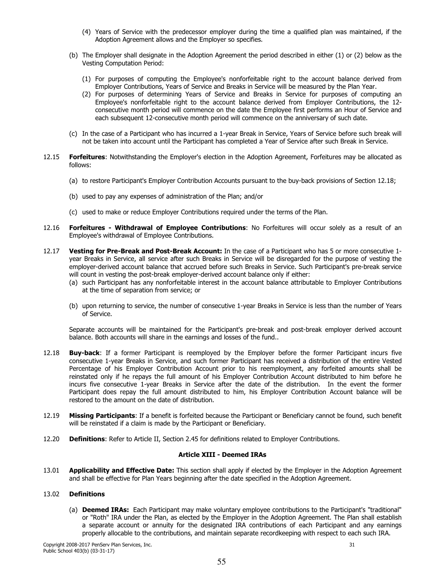- (4) Years of Service with the predecessor employer during the time a qualified plan was maintained, if the Adoption Agreement allows and the Employer so specifies.
- (b) The Employer shall designate in the Adoption Agreement the period described in either (1) or (2) below as the Vesting Computation Period:
	- (1) For purposes of computing the Employee's nonforfeitable right to the account balance derived from Employer Contributions, Years of Service and Breaks in Service will be measured by the Plan Year.
	- (2) For purposes of determining Years of Service and Breaks in Service for purposes of computing an Employee's nonforfeitable right to the account balance derived from Employer Contributions, the 12consecutive month period will commence on the date the Employee first performs an Hour of Service and each subsequent 12-consecutive month period will commence on the anniversary of such date.
- (c) In the case of a Participant who has incurred a 1-year Break in Service, Years of Service before such break will not be taken into account until the Participant has completed a Year of Service after such Break in Service.
- 12.15 Forfeitures: Notwithstanding the Emplover's election in the Adoption Agreement. Forfeitures may be allocated as follows:
	- (a) to restore Participant's Employer Contribution Accounts pursuant to the buy-back provisions of Section 12.18;
	- (b) used to pay any expenses of administration of the Plan; and/or
	- (c) used to make or reduce Employer Contributions required under the terms of the Plan.
- 12.16 Forfeitures - Withdrawal of Employee Contributions: No Forfeitures will occur solely as a result of an Employee's withdrawal of Employee Contributions.
- Vesting for Pre-Break and Post-Break Account: In the case of a Participant who has 5 or more consecutive 1-12.17 year Breaks in Service, all service after such Breaks in Service will be disregarded for the purpose of vesting the employer-derived account balance that accrued before such Breaks in Service. Such Participant's pre-break service will count in vesting the post-break employer-derived account balance only if either:
	- (a) such Participant has any nonforfeitable interest in the account balance attributable to Employer Contributions at the time of separation from service; or
	- (b) upon returning to service, the number of consecutive 1-year Breaks in Service is less than the number of Years of Service.

Separate accounts will be maintained for the Participant's pre-break and post-break employer derived account balance. Both accounts will share in the earnings and losses of the fund..

- 12.18 **Buy-back:** If a former Participant is reemployed by the Employer before the former Participant incurs five consecutive 1-year Breaks in Service, and such former Participant has received a distribution of the entire Vested Percentage of his Employer Contribution Account prior to his reemployment, any forfeited amounts shall be reinstated only if he repays the full amount of his Employer Contribution Account distributed to him before he incurs five consecutive 1-year Breaks in Service after the date of the distribution. In the event the former Participant does repay the full amount distributed to him, his Employer Contribution Account balance will be restored to the amount on the date of distribution.
- Missing Participants: If a benefit is forfeited because the Participant or Beneficiary cannot be found, such benefit 12.19 will be reinstated if a claim is made by the Participant or Beneficiary.
- 12.20 **Definitions:** Refer to Article II, Section 2.45 for definitions related to Employer Contributions.

# **Article XIII - Deemed IRAs**

13.01 Applicability and Effective Date: This section shall apply if elected by the Employer in the Adoption Agreement and shall be effective for Plan Years beginning after the date specified in the Adoption Agreement.

#### 13.02 **Definitions**

(a) Deemed IRAs: Each Participant may make voluntary employee contributions to the Participant's "traditional" or "Roth" IRA under the Plan, as elected by the Employer in the Adoption Agreement. The Plan shall establish a separate account or annuity for the designated IRA contributions of each Participant and any earnings properly allocable to the contributions, and maintain separate recordkeeping with respect to each such IRA.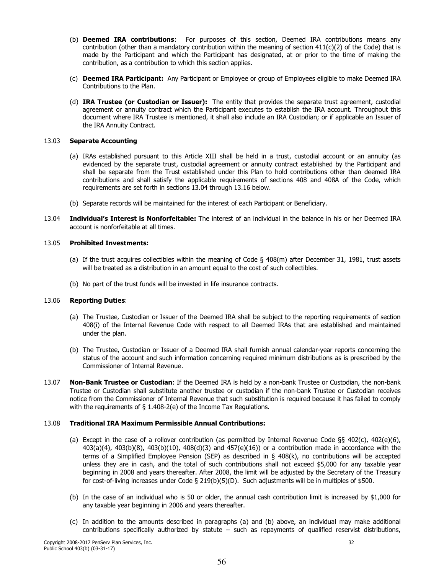- (b) Deemed IRA contributions: For purposes of this section, Deemed IRA contributions means any contribution (other than a mandatory contribution within the meaning of section 411(c)(2) of the Code) that is made by the Participant and which the Participant has designated, at or prior to the time of making the contribution, as a contribution to which this section applies.
- (c) Deemed IRA Participant: Any Participant or Employee or group of Employees eligible to make Deemed IRA Contributions to the Plan.
- (d) IRA Trustee (or Custodian or Issuer): The entity that provides the separate trust agreement, custodial agreement or annuity contract which the Participant executes to establish the IRA account. Throughout this document where IRA Trustee is mentioned, it shall also include an IRA Custodian; or if applicable an Issuer of the IRA Annuity Contract.

#### 13.03 **Separate Accounting**

- (a) IRAs established pursuant to this Article XIII shall be held in a trust, custodial account or an annuity (as evidenced by the separate trust, custodial agreement or annuity contract established by the Participant and shall be separate from the Trust established under this Plan to hold contributions other than deemed IRA contributions and shall satisfy the applicable requirements of sections 408 and 408A of the Code, which requirements are set forth in sections 13.04 through 13.16 below.
- (b) Separate records will be maintained for the interest of each Participant or Beneficiary.
- 13.04 Individual's Interest is Nonforfeitable: The interest of an individual in the balance in his or her Deemed IRA account is nonforfeitable at all times.

#### 13.05 **Prohibited Investments:**

- (a) If the trust acquires collectibles within the meaning of Code § 408(m) after December 31, 1981, trust assets will be treated as a distribution in an amount equal to the cost of such collectibles.
- (b) No part of the trust funds will be invested in life insurance contracts.

#### 13.06 **Reporting Duties:**

- (a) The Trustee, Custodian or Issuer of the Deemed IRA shall be subject to the reporting requirements of section 408(i) of the Internal Revenue Code with respect to all Deemed IRAs that are established and maintained under the plan.
- (b) The Trustee, Custodian or Issuer of a Deemed IRA shall furnish annual calendar-year reports concerning the status of the account and such information concerning required minimum distributions as is prescribed by the Commissioner of Internal Revenue.
- 13.07 Non-Bank Trustee or Custodian: If the Deemed IRA is held by a non-bank Trustee or Custodian, the non-bank Trustee or Custodian shall substitute another trustee or custodian if the non-bank Trustee or Custodian receives notice from the Commissioner of Internal Revenue that such substitution is required because it has failed to comply with the requirements of  $\S$  1.408-2(e) of the Income Tax Regulations.

#### 13.08 **Traditional IRA Maximum Permissible Annual Contributions:**

- (a) Except in the case of a rollover contribution (as permitted by Internal Revenue Code  $\S$  402(c), 402(e)(6),  $403(a)(4)$ ,  $403(b)(8)$ ,  $403(b)(10)$ ,  $408(d)(3)$  and  $457(e)(16)$ ) or a contribution made in accordance with the terms of a Simplified Employee Pension (SEP) as described in  $\S$  408(k), no contributions will be accepted unless they are in cash, and the total of such contributions shall not exceed \$5,000 for any taxable year beginning in 2008 and years thereafter. After 2008, the limit will be adjusted by the Secretary of the Treasury for cost-of-living increases under Code § 219(b)(5)(D). Such adjustments will be in multiples of \$500.
- (b) In the case of an individual who is 50 or older, the annual cash contribution limit is increased by \$1,000 for any taxable year beginning in 2006 and years thereafter.
- (c) In addition to the amounts described in paragraphs (a) and (b) above, an individual may make additional contributions specifically authorized by statute  $-$  such as repayments of qualified reservist distributions,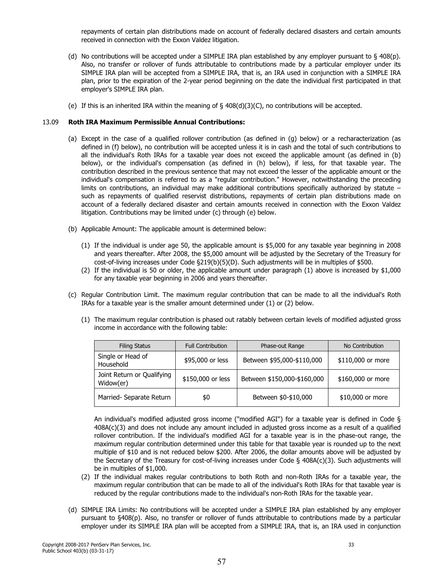repayments of certain plan distributions made on account of federally declared disasters and certain amounts received in connection with the Exxon Valdez litigation.

- (d) No contributions will be accepted under a SIMPLE IRA plan established by any employer pursuant to § 408(p). Also, no transfer or rollover of funds attributable to contributions made by a particular employer under its SIMPLE IRA plan will be accepted from a SIMPLE IRA, that is, an IRA used in conjunction with a SIMPLE IRA plan, prior to the expiration of the 2-year period beginning on the date the individual first participated in that employer's SIMPLE IRA plan.
- (e) If this is an inherited IRA within the meaning of  $\S$  408(d)(3)(C), no contributions will be accepted.

#### 13.09 **Roth IRA Maximum Permissible Annual Contributions:**

- (a) Except in the case of a qualified rollover contribution (as defined in (g) below) or a recharacterization (as defined in (f) below), no contribution will be accepted unless it is in cash and the total of such contributions to all the individual's Roth IRAs for a taxable year does not exceed the applicable amount (as defined in (b) below), or the individual's compensation (as defined in (h) below), if less, for that taxable year. The contribution described in the previous sentence that may not exceed the lesser of the applicable amount or the individual's compensation is referred to as a "regular contribution." However, notwithstanding the preceding limits on contributions, an individual may make additional contributions specifically authorized by statute such as repayments of qualified reservist distributions, repayments of certain plan distributions made on account of a federally declared disaster and certain amounts received in connection with the Exxon Valdez litigation. Contributions may be limited under (c) through (e) below.
- (b) Applicable Amount: The applicable amount is determined below:
	- (1) If the individual is under age 50, the applicable amount is \$5,000 for any taxable year beginning in 2008 and years thereafter. After 2008, the \$5,000 amount will be adjusted by the Secretary of the Treasury for cost-of-living increases under Code §219(b)(5)(D). Such adjustments will be in multiples of \$500.
	- (2) If the individual is 50 or older, the applicable amount under paragraph (1) above is increased by \$1,000 for any taxable year beginning in 2006 and years thereafter.
- (c) Regular Contribution Limit. The maximum regular contribution that can be made to all the individual's Roth IRAs for a taxable year is the smaller amount determined under (1) or (2) below.
	- (1) The maximum regular contribution is phased out ratably between certain levels of modified adjusted gross income in accordance with the following table:

| <b>Filing Status</b>                    | <b>Full Contribution</b> | Phase-out Range             | No Contribution   |
|-----------------------------------------|--------------------------|-----------------------------|-------------------|
| Single or Head of<br>Household          | \$95,000 or less         | Between \$95,000-\$110,000  | \$110,000 or more |
| Joint Return or Qualifying<br>Widow(er) | \$150,000 or less        | Between \$150,000-\$160,000 | \$160,000 or more |
| Married- Separate Return                | \$0                      | Between \$0-\$10,000        | \$10,000 or more  |

An individual's modified adjusted gross income ("modified AGI") for a taxable year is defined in Code §  $408A(c)(3)$  and does not include any amount included in adjusted gross income as a result of a qualified rollover contribution. If the individual's modified AGI for a taxable year is in the phase-out range, the maximum regular contribution determined under this table for that taxable year is rounded up to the next multiple of \$10 and is not reduced below \$200. After 2006, the dollar amounts above will be adjusted by the Secretary of the Treasury for cost-of-living increases under Code § 408A(c)(3). Such adjustments will be in multiples of \$1,000.

- (2) If the individual makes regular contributions to both Roth and non-Roth IRAs for a taxable year, the maximum regular contribution that can be made to all of the individual's Roth IRAs for that taxable year is reduced by the regular contributions made to the individual's non-Roth IRAs for the taxable year.
- (d) SIMPLE IRA Limits: No contributions will be accepted under a SIMPLE IRA plan established by any employer pursuant to §408(p). Also, no transfer or rollover of funds attributable to contributions made by a particular employer under its SIMPLE IRA plan will be accepted from a SIMPLE IRA, that is, an IRA used in conjunction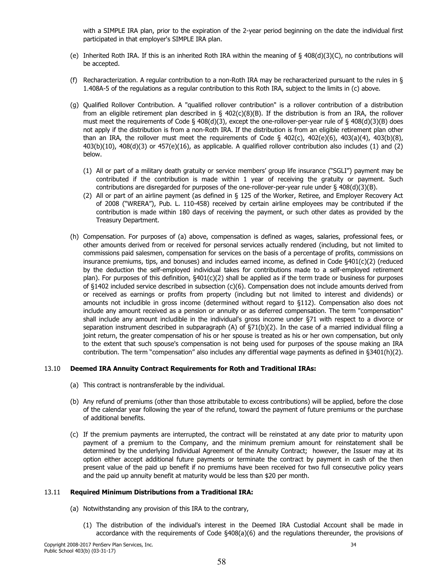with a SIMPLE IRA plan, prior to the expiration of the 2-year period beginning on the date the individual first participated in that employer's SIMPLE IRA plan.

- (e) Inherited Roth IRA. If this is an inherited Roth IRA within the meaning of § 408(d)(3)(C), no contributions will be accepted.
- (f) Recharacterization. A regular contribution to a non-Roth IRA may be recharacterized pursuant to the rules in § 1.408A-5 of the requlations as a reqular contribution to this Roth IRA, subject to the limits in (c) above.
- (q) Qualified Rollover Contribution. A "qualified rollover contribution" is a rollover contribution of a distribution from an eligible retirement plan described in  $\S$  402(c)(8)(B). If the distribution is from an IRA, the rollover must meet the requirements of Code § 408(d)(3), except the one-rollover-per-year rule of § 408(d)(3)(B) does not apply if the distribution is from a non-Roth IRA. If the distribution is from an eligible retirement plan other than an IRA, the rollover must meet the requirements of Code  $\S$  402(c), 402(e)(6), 403(a)(4), 403(b)(8), 403(b)(10), 408(d)(3) or 457(e)(16), as applicable. A qualified rollover contribution also includes (1) and (2) below.
	- (1) All or part of a military death gratuity or service members' group life insurance ("SGLI") payment may be contributed if the contribution is made within 1 year of receiving the gratuity or payment. Such contributions are disregarded for purposes of the one-rollover-per-year rule under  $\S$  408(d)(3)(B).
	- (2) All or part of an airline payment (as defined in § 125 of the Worker, Retiree, and Employer Recovery Act of 2008 ("WRERA"), Pub. L. 110-458) received by certain airline employees may be contributed if the contribution is made within 180 days of receiving the payment, or such other dates as provided by the Treasury Department.
- (h) Compensation. For purposes of (a) above, compensation is defined as wages, salaries, professional fees, or other amounts derived from or received for personal services actually rendered (including, but not limited to commissions paid salesmen, compensation for services on the basis of a percentage of profits, commissions on insurance premiums, tips, and bonuses) and includes earned income, as defined in Code  $\frac{6401(c)}{2}$  (reduced by the deduction the self-employed individual takes for contributions made to a self-employed retirement plan). For purposes of this definition, §401(c)(2) shall be applied as if the term trade or business for purposes of §1402 included service described in subsection (c)(6). Compensation does not include amounts derived from or received as earnings or profits from property (including but not limited to interest and dividends) or amounts not includible in gross income (determined without regard to §112). Compensation also does not include any amount received as a pension or annuity or as deferred compensation. The term "compensation" shall include any amount includible in the individual's gross income under §71 with respect to a divorce or separation instrument described in subparagraph (A) of  $\S71(b)(2)$ . In the case of a married individual filing a joint return, the greater compensation of his or her spouse is treated as his or her own compensation, but only to the extent that such spouse's compensation is not being used for purposes of the spouse making an IRA contribution. The term "compensation" also includes any differential wage payments as defined in §3401(h)(2).

#### 13.10 **Deemed IRA Annuity Contract Requirements for Roth and Traditional IRAs:**

- (a) This contract is nontransferable by the individual.
- (b) Any refund of premiums (other than those attributable to excess contributions) will be applied, before the close of the calendar year following the year of the refund, toward the payment of future premiums or the purchase of additional benefits.
- (c) If the premium payments are interrupted, the contract will be reinstated at any date prior to maturity upon payment of a premium to the Company, and the minimum premium amount for reinstatement shall be determined by the underlying Individual Agreement of the Annuity Contract; however, the Issuer may at its option either accept additional future payments or terminate the contract by payment in cash of the then present value of the paid up benefit if no premiums have been received for two full consecutive policy years and the paid up annuity benefit at maturity would be less than \$20 per month.

#### $13.11$ **Required Minimum Distributions from a Traditional IRA:**

- (a) Notwithstanding any provision of this IRA to the contrary,
	- (1) The distribution of the individual's interest in the Deemed IRA Custodial Account shall be made in accordance with the requirements of Code §408(a)(6) and the regulations thereunder, the provisions of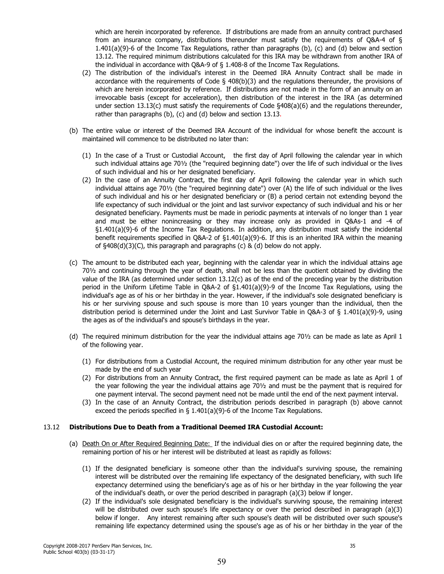which are herein incorporated by reference. If distributions are made from an annuity contract purchased from an insurance company, distributions thereunder must satisfy the requirements of Q&A-4 of  $\S$  $1.401(a)(9)-6$  of the Income Tax Regulations, rather than paragraphs (b), (c) and (d) below and section 13.12. The required minimum distributions calculated for this IRA may be withdrawn from another IRA of the individual in accordance with  $O&4-9$  of  $\frac{2}{3}$  1.408-8 of the Income Tax Regulations.

- (2) The distribution of the individual's interest in the Deemed IRA Annuity Contract shall be made in accordance with the requirements of Code  $\S$  408(b)(3) and the regulations thereunder, the provisions of which are herein incorporated by reference. If distributions are not made in the form of an annuity on an irrevocable basis (except for acceleration), then distribution of the interest in the IRA (as determined under section 13.13(c) must satisfy the requirements of Code §408(a)(6) and the requlations thereunder, rather than paragraphs (b), (c) and (d) below and section 13.13.
- (b) The entire value or interest of the Deemed IRA Account of the individual for whose benefit the account is maintained will commence to be distributed no later than:
	- (1) In the case of a Trust or Custodial Account, the first day of April following the calendar year in which such individual attains age 701/2 (the "required beginning date") over the life of such individual or the lives of such individual and his or her designated beneficiary.
	- (2) In the case of an Annuity Contract, the first day of April following the calendar year in which such individual attains age 701/2 (the "required beginning date") over (A) the life of such individual or the lives of such individual and his or her designated beneficiary or (B) a period certain not extending beyond the life expectancy of such individual or the joint and last survivor expectancy of such individual and his or her designated beneficiary. Payments must be made in periodic payments at intervals of no longer than 1 year and must be either nonincreasing or they may increase only as provided in O&As-1 and -4 of §1.401(a)(9)-6 of the Income Tax Regulations. In addition, any distribution must satisfy the incidental benefit requirements specified in Q&A-2 of  $\S1.401(a)(9)$ -6. If this is an inherited IRA within the meaning of  $\S408(d)(3)(C)$ , this paragraph and paragraphs (c) & (d) below do not apply.
- (c) The amount to be distributed each year, beginning with the calendar year in which the individual attains age 701/2 and continuing through the year of death, shall not be less than the quotient obtained by dividing the value of the IRA (as determined under section  $13.12(c)$  as of the end of the preceding year by the distribution period in the Uniform Lifetime Table in Q&A-2 of §1.401(a)(9)-9 of the Income Tax Regulations, using the individual's age as of his or her birthday in the year. However, if the individual's sole designated beneficiary is his or her surviving spouse and such spouse is more than 10 years younger than the individual, then the distribution period is determined under the Joint and Last Survivor Table in Q&A-3 of § 1.401(a)(9)-9, using the ages as of the individual's and spouse's birthdays in the year.
- (d) The required minimum distribution for the year the individual attains age  $70\frac{1}{2}$  can be made as late as April 1 of the following year.
	- (1) For distributions from a Custodial Account, the required minimum distribution for any other year must be made by the end of such year
	- (2) For distributions from an Annuity Contract, the first required payment can be made as late as April 1 of the year following the year the individual attains age 701/2 and must be the payment that is required for one payment interval. The second payment need not be made until the end of the next payment interval.
	- (3) In the case of an Annuity Contract, the distribution periods described in paragraph (b) above cannot exceed the periods specified in  $\S$  1.401(a)(9)-6 of the Income Tax Regulations.

#### Distributions Due to Death from a Traditional Deemed IRA Custodial Account:  $13.12$

- (a) Death On or After Required Beginning Date: If the individual dies on or after the required beginning date, the remaining portion of his or her interest will be distributed at least as rapidly as follows:
	- (1) If the designated beneficiary is someone other than the individual's surviving spouse, the remaining interest will be distributed over the remaining life expectancy of the designated beneficiary, with such life expectancy determined using the beneficiary's age as of his or her birthday in the year following the year of the individual's death, or over the period described in paragraph (a)(3) below if longer.
	- (2) If the individual's sole designated beneficiary is the individual's surviving spouse, the remaining interest will be distributed over such spouse's life expectancy or over the period described in paragraph  $(a)(3)$ below if longer. Any interest remaining after such spouse's death will be distributed over such spouse's remaining life expectancy determined using the spouse's age as of his or her birthday in the year of the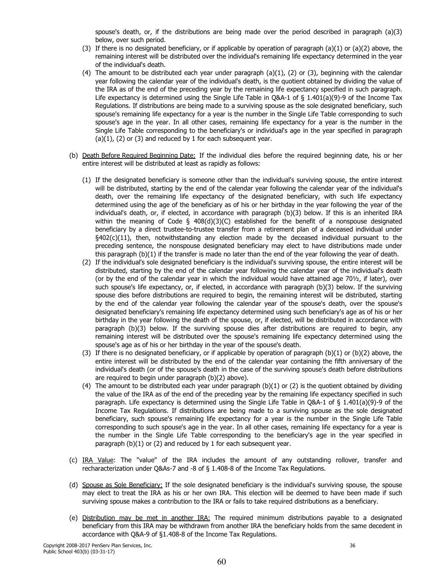spouse's death, or, if the distributions are being made over the period described in paragraph  $(a)(3)$ below, over such period.

- (3) If there is no designated beneficiary, or if applicable by operation of paragraph  $(a)(1)$  or  $(a)(2)$  above, the remaining interest will be distributed over the individual's remaining life expectancy determined in the year of the individual's death.
- (4) The amount to be distributed each year under paragraph  $(a)(1)$ ,  $(2)$  or  $(3)$ , beginning with the calendar year following the calendar year of the individual's death, is the quotient obtained by dividing the value of the IRA as of the end of the preceding year by the remaining life expectancy specified in such paragraph. Life expectancy is determined using the Single Life Table in O&A-1 of § 1.401(a)(9)-9 of the Income Tax Regulations. If distributions are being made to a surviving spouse as the sole designated beneficiary, such spouse's remaining life expectancy for a year is the number in the Single Life Table corresponding to such spouse's age in the year. In all other cases, remaining life expectancy for a year is the number in the Single Life Table corresponding to the beneficiary's or individual's age in the year specified in paragraph  $(a)(1)$ ,  $(2)$  or  $(3)$  and reduced by 1 for each subsequent year.
- (b) Death Before Required Beginning Date: If the individual dies before the required beginning date, his or her entire interest will be distributed at least as rapidly as follows:
	- (1) If the designated beneficiary is someone other than the individual's surviving spouse, the entire interest will be distributed, starting by the end of the calendar year following the calendar year of the individual's death, over the remaining life expectancy of the designated beneficiary, with such life expectancy determined using the age of the beneficiary as of his or her birthday in the year following the year of the individual's death, or, if elected, in accordance with paragraph (b)(3) below. If this is an inherited IRA within the meaning of Code  $\S$  408(d)(3)(C) established for the benefit of a nonspouse designated beneficiary by a direct trustee-to-trustee transfer from a retirement plan of a deceased individual under  $\S402(c)(11)$ , then, notwithstanding any election made by the deceased individual pursuant to the preceding sentence, the nonspouse designated beneficiary may elect to have distributions made under this paragraph (b)(1) if the transfer is made no later than the end of the year following the year of death.
	- (2) If the individual's sole designated beneficiary is the individual's surviving spouse, the entire interest will be distributed, starting by the end of the calendar year following the calendar year of the individual's death (or by the end of the calendar year in which the individual would have attained age 701/2, if later), over such spouse's life expectancy, or, if elected, in accordance with paragraph (b)(3) below. If the surviving spouse dies before distributions are required to begin, the remaining interest will be distributed, starting by the end of the calendar year following the calendar year of the spouse's death, over the spouse's designated beneficiary's remaining life expectancy determined using such beneficiary's age as of his or her birthday in the year following the death of the spouse, or, if elected, will be distributed in accordance with paragraph (b)(3) below. If the surviving spouse dies after distributions are required to begin, any remaining interest will be distributed over the spouse's remaining life expectancy determined using the spouse's age as of his or her birthday in the year of the spouse's death.
	- (3) If there is no designated beneficiary, or if applicable by operation of paragraph  $(b)(1)$  or  $(b)(2)$  above, the entire interest will be distributed by the end of the calendar year containing the fifth anniversary of the individual's death (or of the spouse's death in the case of the surviving spouse's death before distributions are required to begin under paragraph (b)(2) above).
	- (4) The amount to be distributed each year under paragraph  $(b)(1)$  or  $(2)$  is the quotient obtained by dividing the value of the IRA as of the end of the preceding year by the remaining life expectancy specified in such paragraph. Life expectancy is determined using the Single Life Table in Q&A-1 of § 1.401(a)(9)-9 of the Income Tax Regulations. If distributions are being made to a surviving spouse as the sole designated beneficiary, such spouse's remaining life expectancy for a year is the number in the Single Life Table corresponding to such spouse's age in the year. In all other cases, remaining life expectancy for a year is the number in the Single Life Table corresponding to the beneficiary's age in the year specified in paragraph  $(b)(1)$  or  $(2)$  and reduced by 1 for each subsequent year.
- (c) IRA Value: The "value" of the IRA includes the amount of any outstanding rollover, transfer and recharacterization under Q&As-7 and -8 of § 1.408-8 of the Income Tax Regulations.
- (d) Spouse as Sole Beneficiary: If the sole designated beneficiary is the individual's surviving spouse, the spouse may elect to treat the IRA as his or her own IRA. This election will be deemed to have been made if such surviving spouse makes a contribution to the IRA or fails to take required distributions as a beneficiary.
- (e) Distribution may be met in another IRA: The required minimum distributions payable to a designated beneficiary from this IRA may be withdrawn from another IRA the beneficiary holds from the same decedent in accordance with Q&A-9 of §1.408-8 of the Income Tax Regulations.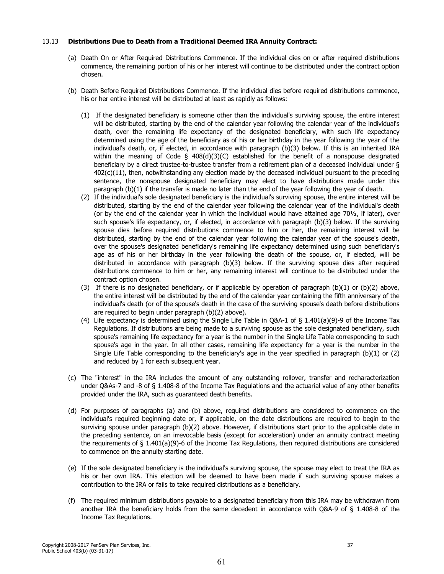#### Distributions Due to Death from a Traditional Deemed IRA Annuity Contract: 13.13

- (a) Death On or After Required Distributions Commence. If the individual dies on or after required distributions commence, the remaining portion of his or her interest will continue to be distributed under the contract option chosen.
- (b) Death Before Required Distributions Commence. If the individual dies before required distributions commence, his or her entire interest will be distributed at least as rapidly as follows:
	- (1) If the designated beneficiary is someone other than the individual's surviving spouse, the entire interest will be distributed, starting by the end of the calendar year following the calendar year of the individual's death, over the remaining life expectancy of the designated beneficiary, with such life expectancy determined using the age of the beneficiary as of his or her birthday in the year following the year of the individual's death, or, if elected, in accordance with paragraph (b)(3) below. If this is an inherited IRA within the meaning of Code  $\frac{5}{4}$  408(d)(3)(C) established for the benefit of a nonspouse designated beneficiary by a direct trustee-to-trustee transfer from a retirement plan of a deceased individual under §  $402(c)(11)$ , then, notwithstanding any election made by the deceased individual pursuant to the preceding sentence, the nonspouse designated beneficiary may elect to have distributions made under this paragraph  $(b)(1)$  if the transfer is made no later than the end of the year following the year of death.
	- (2) If the individual's sole designated beneficiary is the individual's surviving spouse, the entire interest will be distributed, starting by the end of the calendar year following the calendar year of the individual's death (or by the end of the calendar year in which the individual would have attained age 701/2, if later), over such spouse's life expectancy, or, if elected, in accordance with paragraph (b)(3) below. If the surviving spouse dies before required distributions commence to him or her, the remaining interest will be distributed, starting by the end of the calendar year following the calendar year of the spouse's death, over the spouse's designated beneficiary's remaining life expectancy determined using such beneficiary's age as of his or her birthday in the year following the death of the spouse, or, if elected, will be distributed in accordance with paragraph (b)(3) below. If the surviving spouse dies after required distributions commence to him or her, any remaining interest will continue to be distributed under the contract option chosen.
	- (3) If there is no designated beneficiary, or if applicable by operation of paragraph  $(b)(1)$  or  $(b)(2)$  above, the entire interest will be distributed by the end of the calendar year containing the fifth anniversary of the individual's death (or of the spouse's death in the case of the surviving spouse's death before distributions are required to begin under paragraph (b)(2) above).
	- (4) Life expectancy is determined using the Single Life Table in Q&A-1 of  $\S$  1.401(a)(9)-9 of the Income Tax Regulations. If distributions are being made to a surviving spouse as the sole designated beneficiary, such spouse's remaining life expectancy for a year is the number in the Single Life Table corresponding to such spouse's age in the year. In all other cases, remaining life expectancy for a year is the number in the Single Life Table corresponding to the beneficiary's age in the year specified in paragraph  $(b)(1)$  or  $(2)$ and reduced by 1 for each subsequent year.
- (c) The "interest" in the IRA includes the amount of any outstanding rollover, transfer and recharacterization under Q&As-7 and -8 of § 1.408-8 of the Income Tax Regulations and the actuarial value of any other benefits provided under the IRA, such as guaranteed death benefits.
- (d) For purposes of paragraphs (a) and (b) above, required distributions are considered to commence on the individual's required beginning date or, if applicable, on the date distributions are required to begin to the surviving spouse under paragraph (b)(2) above. However, if distributions start prior to the applicable date in the preceding sentence, on an irrevocable basis (except for acceleration) under an annuity contract meeting the requirements of  $\S$  1.401(a)(9)-6 of the Income Tax Regulations, then required distributions are considered to commence on the annuity starting date.
- (e) If the sole designated beneficiary is the individual's surviving spouse, the spouse may elect to treat the IRA as his or her own IRA. This election will be deemed to have been made if such surviving spouse makes a contribution to the IRA or fails to take required distributions as a beneficiary.
- (f) The required minimum distributions payable to a designated beneficiary from this IRA may be withdrawn from another IRA the beneficiary holds from the same decedent in accordance with Q&A-9 of § 1.408-8 of the Income Tax Regulations.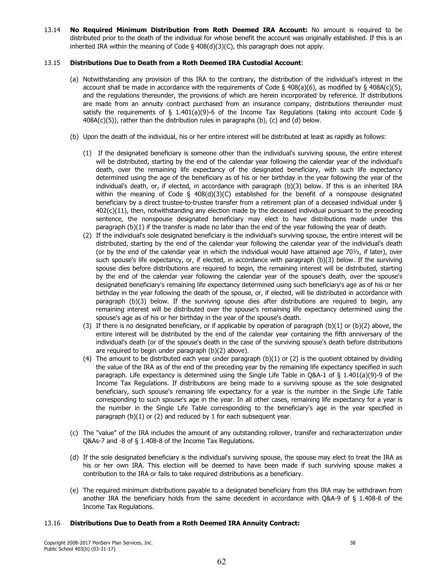No Required Minimum Distribution from Roth Deemed IRA Account: No amount is required to be 13.14 distributed prior to the death of the individual for whose benefit the account was originally established. If this is an inherited IRA within the meaning of Code  $\S$  408(d)(3)(C), this paragraph does not apply.

#### 13.15 Distributions Due to Death from a Roth Deemed IRA Custodial Account:

- (a) Notwithstanding any provision of this IRA to the contrary, the distribution of the individual's interest in the account shall be made in accordance with the requirements of Code § 408(a)(6), as modified by § 408A(c)(5), and the regulations thereunder, the provisions of which are herein incorporated by reference. If distributions are made from an annuity contract purchased from an insurance company, distributions thereunder must satisfy the requirements of  $\S$  1.401(a)(9)-6 of the Income Tax Regulations (taking into account Code  $\S$  $408A(c)(5)$ , rather than the distribution rules in paragraphs (b), (c) and (d) below.
- (b) Upon the death of the individual, his or her entire interest will be distributed at least as rapidly as follows:
	- (1) If the designated beneficiary is someone other than the individual's surviving spouse, the entire interest will be distributed, starting by the end of the calendar year following the calendar year of the individual's death, over the remaining life expectancy of the designated beneficiary, with such life expectancy determined using the age of the beneficiary as of his or her birthday in the year following the year of the individual's death, or, if elected, in accordance with paragraph (b)(3) below. If this is an inherited IRA within the meaning of Code  $\S$  408(d)(3)(C) established for the benefit of a nonspouse designated beneficiary by a direct trustee-to-trustee transfer from a retirement plan of a deceased individual under § 402(c)(11), then, notwithstanding any election made by the deceased individual pursuant to the preceding sentence, the nonspouse designated beneficiary may elect to have distributions made under this paragraph (b)(1) if the transfer is made no later than the end of the year following the year of death.
	- (2) If the individual's sole designated beneficiary is the individual's surviving spouse, the entire interest will be distributed, starting by the end of the calendar year following the calendar year of the individual's death (or by the end of the calendar year in which the individual would have attained age 701/2, if later), over such spouse's life expectancy, or, if elected, in accordance with paragraph (b)(3) below. If the surviving spouse dies before distributions are required to begin, the remaining interest will be distributed, starting by the end of the calendar year following the calendar year of the spouse's death, over the spouse's designated beneficiary's remaining life expectancy determined using such beneficiary's age as of his or her birthday in the year following the death of the spouse, or, if elected, will be distributed in accordance with paragraph (b)(3) below. If the surviving spouse dies after distributions are required to begin, any remaining interest will be distributed over the spouse's remaining life expectancy determined using the spouse's age as of his or her birthday in the year of the spouse's death.
	- (3) If there is no designated beneficiary, or if applicable by operation of paragraph (b)(1) or (b)(2) above, the entire interest will be distributed by the end of the calendar year containing the fifth anniversary of the individual's death (or of the spouse's death in the case of the surviving spouse's death before distributions are required to begin under paragraph (b)(2) above).
	- (4) The amount to be distributed each year under paragraph (b)(1) or (2) is the quotient obtained by dividing the value of the IRA as of the end of the preceding year by the remaining life expectancy specified in such paragraph. Life expectancy is determined using the Single Life Table in Q&A-1 of § 1.401(a)(9)-9 of the Income Tax Regulations. If distributions are being made to a surviving spouse as the sole designated beneficiary, such spouse's remaining life expectancy for a year is the number in the Single Life Table corresponding to such spouse's age in the year. In all other cases, remaining life expectancy for a year is the number in the Single Life Table corresponding to the beneficiary's age in the year specified in paragraph  $(b)(1)$  or  $(2)$  and reduced by 1 for each subsequent year.
- (c) The "value" of the IRA includes the amount of any outstanding rollover, transfer and recharacterization under Q&As-7 and -8 of § 1.408-8 of the Income Tax Regulations.
- (d) If the sole designated beneficiary is the individual's surviving spouse, the spouse may elect to treat the IRA as his or her own IRA. This election will be deemed to have been made if such surviving spouse makes a contribution to the IRA or fails to take required distributions as a beneficiary.
- (e) The required minimum distributions payable to a designated beneficiary from this IRA may be withdrawn from another IRA the beneficiary holds from the same decedent in accordance with Q&A-9 of § 1.408-8 of the Income Tax Regulations.

#### 13.16 Distributions Due to Death from a Roth Deemed IRA Annuity Contract: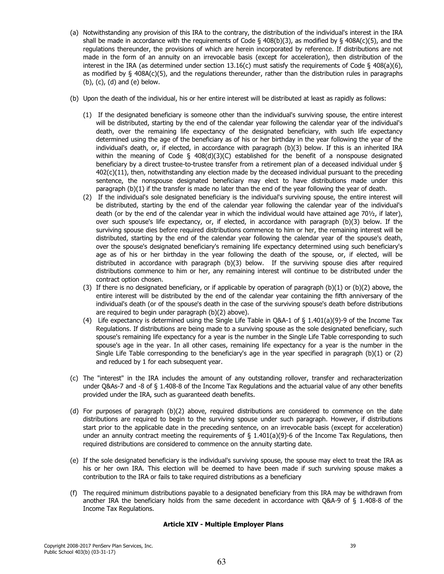- (a) Notwithstanding any provision of this IRA to the contrary, the distribution of the individual's interest in the IRA shall be made in accordance with the requirements of Code  $\S$  408(b)(3), as modified by  $\S$  408A(c)(5), and the regulations thereunder, the provisions of which are herein incorporated by reference. If distributions are not made in the form of an annuity on an irrevocable basis (except for acceleration), then distribution of the interest in the IRA (as determined under section 13.16(c) must satisfy the requirements of Code  $\S$  408(a)(6), as modified by  $\S$  408A(c)(5), and the regulations thereunder, rather than the distribution rules in paragraphs  $(b)$ ,  $(c)$ ,  $(d)$  and  $(e)$  below.
- (b) Upon the death of the individual, his or her entire interest will be distributed at least as rapidly as follows:
	- (1) If the designated beneficiary is someone other than the individual's surviving spouse, the entire interest will be distributed, starting by the end of the calendar year following the calendar year of the individual's death, over the remaining life expectancy of the designated beneficiary, with such life expectancy determined using the age of the beneficiary as of his or her birthday in the year following the year of the individual's death, or, if elected, in accordance with paragraph (b)(3) below. If this is an inherited IRA within the meaning of Code  $\S$  408(d)(3)(C) established for the benefit of a nonspouse designated beneficiary by a direct trustee-to-trustee transfer from a retirement plan of a deceased individual under § 402(c)(11), then, notwithstanding any election made by the deceased individual pursuant to the preceding sentence, the nonspouse designated beneficiary may elect to have distributions made under this paragraph (b)(1) if the transfer is made no later than the end of the year following the year of death.
	- (2) If the individual's sole designated beneficiary is the individual's surviving spouse, the entire interest will be distributed, starting by the end of the calendar year following the calendar year of the individual's death (or by the end of the calendar year in which the individual would have attained age 701/2, if later), over such spouse's life expectancy, or, if elected, in accordance with paragraph (b)(3) below. If the surviving spouse dies before required distributions commence to him or her, the remaining interest will be distributed, starting by the end of the calendar year following the calendar year of the spouse's death, over the spouse's designated beneficiary's remaining life expectancy determined using such beneficiary's age as of his or her birthday in the year following the death of the spouse, or, if elected, will be distributed in accordance with paragraph (b)(3) below. If the surviving spouse dies after required distributions commence to him or her, any remaining interest will continue to be distributed under the contract option chosen.
	- (3) If there is no designated beneficiary, or if applicable by operation of paragraph  $(b)(1)$  or  $(b)(2)$  above, the entire interest will be distributed by the end of the calendar year containing the fifth anniversary of the individual's death (or of the spouse's death in the case of the surviving spouse's death before distributions are required to begin under paragraph (b)(2) above).
	- (4) Life expectancy is determined using the Single Life Table in Q&A-1 of  $\S$  1.401(a)(9)-9 of the Income Tax Regulations. If distributions are being made to a surviving spouse as the sole designated beneficiary, such spouse's remaining life expectancy for a year is the number in the Single Life Table corresponding to such spouse's age in the year. In all other cases, remaining life expectancy for a year is the number in the Single Life Table corresponding to the beneficiary's age in the year specified in paragraph (b)(1) or (2) and reduced by 1 for each subsequent year.
- (c) The "interest" in the IRA includes the amount of any outstanding rollover, transfer and recharacterization under Q&As-7 and -8 of § 1.408-8 of the Income Tax Regulations and the actuarial value of any other benefits provided under the IRA, such as guaranteed death benefits.
- (d) For purposes of paragraph (b)(2) above, required distributions are considered to commence on the date distributions are required to begin to the surviving spouse under such paragraph. However, if distributions start prior to the applicable date in the preceding sentence, on an irrevocable basis (except for acceleration) under an annuity contract meeting the requirements of  $\S$  1.401(a)(9)-6 of the Income Tax Regulations, then required distributions are considered to commence on the annuity starting date.
- (e) If the sole designated beneficiary is the individual's surviving spouse, the spouse may elect to treat the IRA as his or her own IRA. This election will be deemed to have been made if such surviving spouse makes a contribution to the IRA or fails to take required distributions as a beneficiary
- (f) The required minimum distributions payable to a designated beneficiary from this IRA may be withdrawn from another IRA the beneficiary holds from the same decedent in accordance with Q&A-9 of § 1.408-8 of the Income Tax Regulations.

## **Article XIV - Multiple Employer Plans**